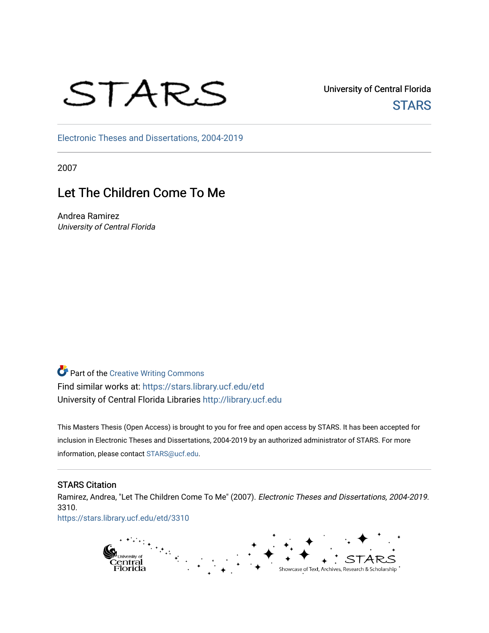# STARS

University of Central Florida **STARS** 

[Electronic Theses and Dissertations, 2004-2019](https://stars.library.ucf.edu/etd) 

2007

## Let The Children Come To Me

Andrea Ramirez University of Central Florida

**Part of the Creative Writing Commons** Find similar works at: <https://stars.library.ucf.edu/etd> University of Central Florida Libraries [http://library.ucf.edu](http://library.ucf.edu/) 

This Masters Thesis (Open Access) is brought to you for free and open access by STARS. It has been accepted for inclusion in Electronic Theses and Dissertations, 2004-2019 by an authorized administrator of STARS. For more information, please contact [STARS@ucf.edu.](mailto:STARS@ucf.edu)

### STARS Citation

Ramirez, Andrea, "Let The Children Come To Me" (2007). Electronic Theses and Dissertations, 2004-2019. 3310.

[https://stars.library.ucf.edu/etd/3310](https://stars.library.ucf.edu/etd/3310?utm_source=stars.library.ucf.edu%2Fetd%2F3310&utm_medium=PDF&utm_campaign=PDFCoverPages) 

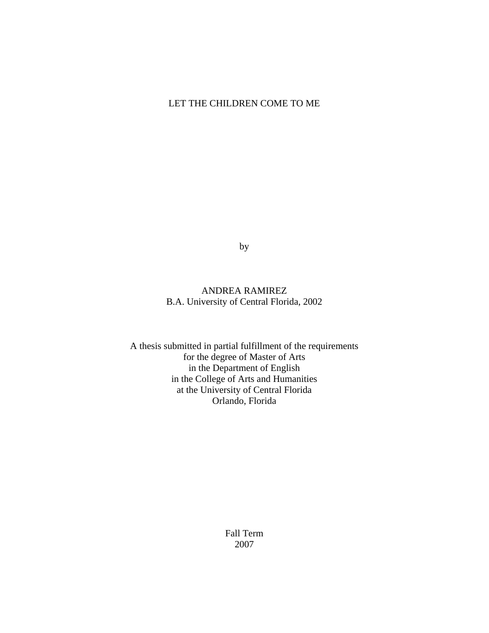## LET THE CHILDREN COME TO ME

by

## ANDREA RAMIREZ B.A. University of Central Florida, 2002

A thesis submitted in partial fulfillment of the requirements for the degree of Master of Arts in the Department of English in the College of Arts and Humanities at the University of Central Florida Orlando, Florida

> Fall Term 2007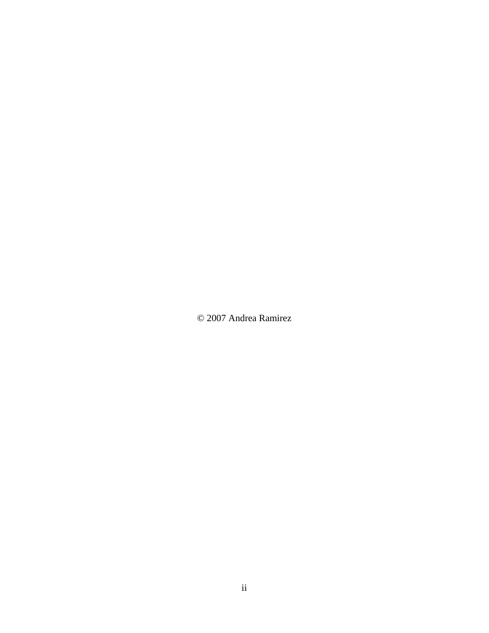© 2007 Andrea Ramirez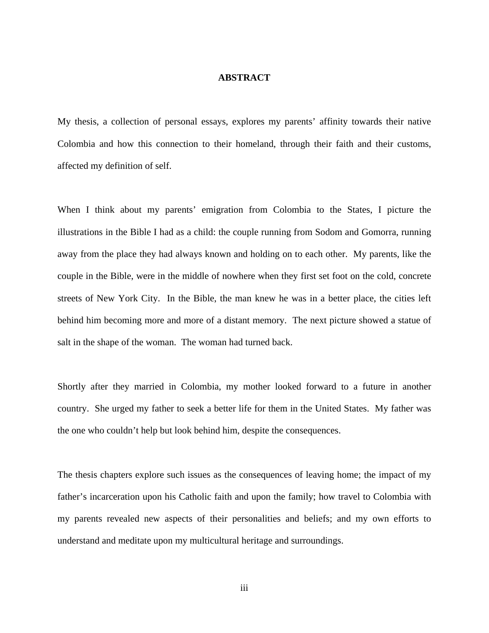#### **ABSTRACT**

My thesis, a collection of personal essays, explores my parents' affinity towards their native Colombia and how this connection to their homeland, through their faith and their customs, affected my definition of self.

When I think about my parents' emigration from Colombia to the States, I picture the illustrations in the Bible I had as a child: the couple running from Sodom and Gomorra, running away from the place they had always known and holding on to each other. My parents, like the couple in the Bible, were in the middle of nowhere when they first set foot on the cold, concrete streets of New York City. In the Bible, the man knew he was in a better place, the cities left behind him becoming more and more of a distant memory. The next picture showed a statue of salt in the shape of the woman. The woman had turned back.

Shortly after they married in Colombia, my mother looked forward to a future in another country. She urged my father to seek a better life for them in the United States. My father was the one who couldn't help but look behind him, despite the consequences.

The thesis chapters explore such issues as the consequences of leaving home; the impact of my father's incarceration upon his Catholic faith and upon the family; how travel to Colombia with my parents revealed new aspects of their personalities and beliefs; and my own efforts to understand and meditate upon my multicultural heritage and surroundings.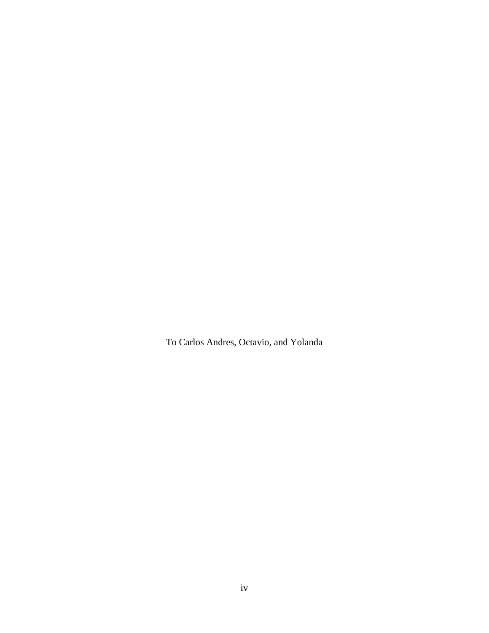To Carlos Andres, Octavio, and Yolanda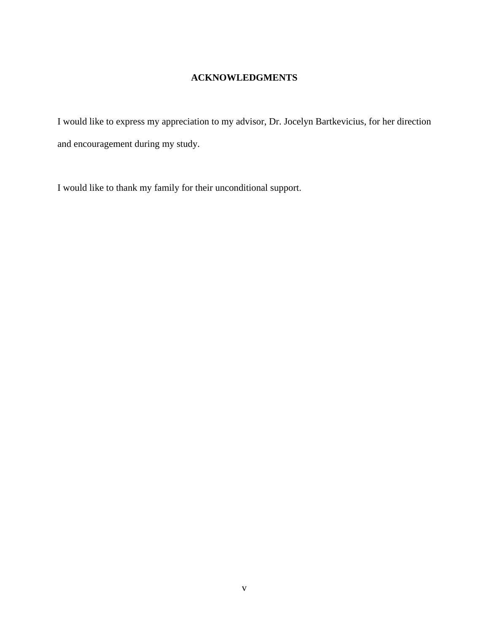## **ACKNOWLEDGMENTS**

I would like to express my appreciation to my advisor, Dr. Jocelyn Bartkevicius, for her direction and encouragement during my study.

I would like to thank my family for their unconditional support.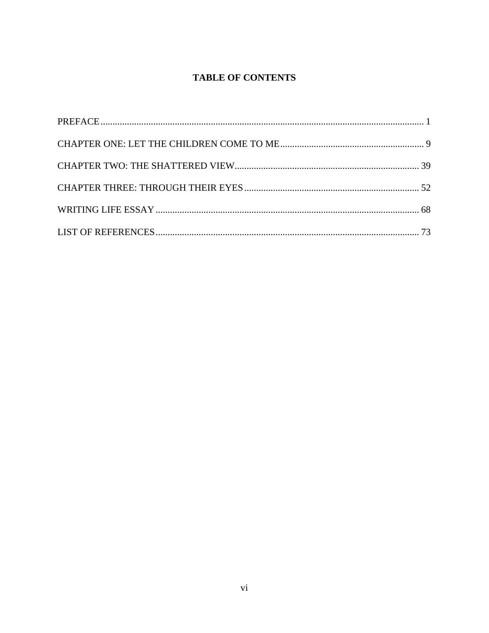## **TABLE OF CONTENTS**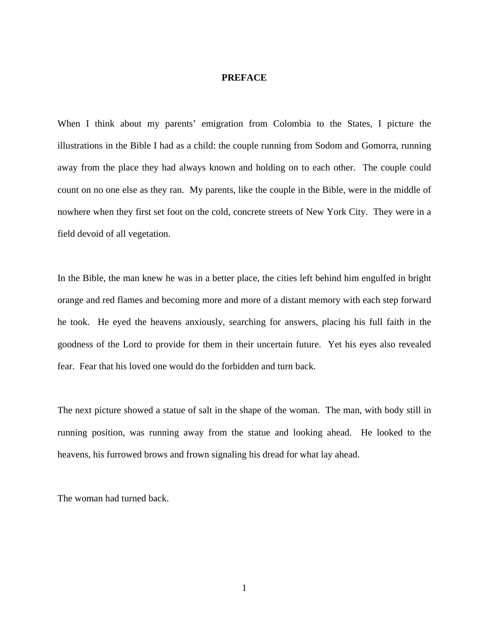#### <span id="page-7-0"></span>**PREFACE**

When I think about my parents' emigration from Colombia to the States, I picture the illustrations in the Bible I had as a child: the couple running from Sodom and Gomorra, running away from the place they had always known and holding on to each other. The couple could count on no one else as they ran. My parents, like the couple in the Bible, were in the middle of nowhere when they first set foot on the cold, concrete streets of New York City. They were in a field devoid of all vegetation.

In the Bible, the man knew he was in a better place, the cities left behind him engulfed in bright orange and red flames and becoming more and more of a distant memory with each step forward he took. He eyed the heavens anxiously, searching for answers, placing his full faith in the goodness of the Lord to provide for them in their uncertain future. Yet his eyes also revealed fear. Fear that his loved one would do the forbidden and turn back.

The next picture showed a statue of salt in the shape of the woman. The man, with body still in running position, was running away from the statue and looking ahead. He looked to the heavens, his furrowed brows and frown signaling his dread for what lay ahead.

The woman had turned back.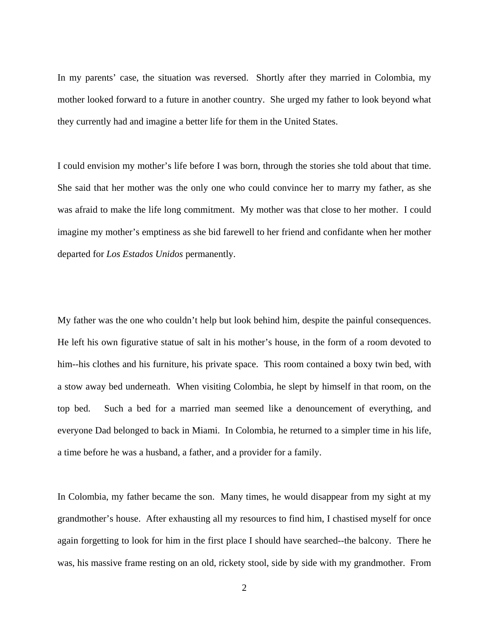In my parents' case, the situation was reversed. Shortly after they married in Colombia, my mother looked forward to a future in another country. She urged my father to look beyond what they currently had and imagine a better life for them in the United States.

I could envision my mother's life before I was born, through the stories she told about that time. She said that her mother was the only one who could convince her to marry my father, as she was afraid to make the life long commitment. My mother was that close to her mother. I could imagine my mother's emptiness as she bid farewell to her friend and confidante when her mother departed for *Los Estados Unidos* permanently.

My father was the one who couldn't help but look behind him, despite the painful consequences. He left his own figurative statue of salt in his mother's house, in the form of a room devoted to him--his clothes and his furniture, his private space. This room contained a boxy twin bed, with a stow away bed underneath. When visiting Colombia, he slept by himself in that room, on the top bed. Such a bed for a married man seemed like a denouncement of everything, and everyone Dad belonged to back in Miami. In Colombia, he returned to a simpler time in his life, a time before he was a husband, a father, and a provider for a family.

In Colombia, my father became the son. Many times, he would disappear from my sight at my grandmother's house. After exhausting all my resources to find him, I chastised myself for once again forgetting to look for him in the first place I should have searched--the balcony. There he was, his massive frame resting on an old, rickety stool, side by side with my grandmother. From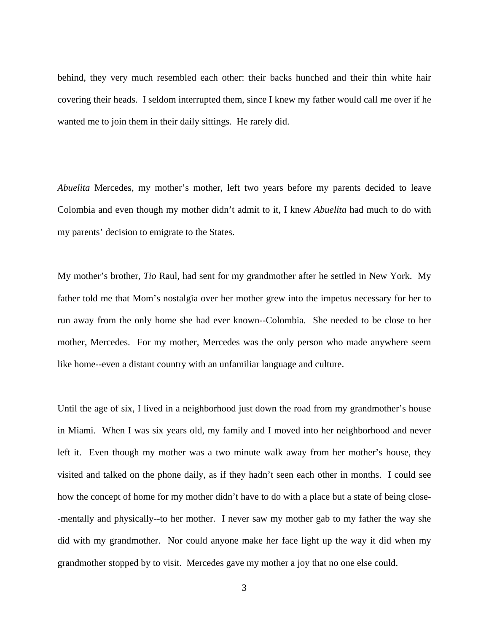behind, they very much resembled each other: their backs hunched and their thin white hair covering their heads. I seldom interrupted them, since I knew my father would call me over if he wanted me to join them in their daily sittings. He rarely did.

*Abuelita* Mercedes, my mother's mother, left two years before my parents decided to leave Colombia and even though my mother didn't admit to it, I knew *Abuelita* had much to do with my parents' decision to emigrate to the States.

My mother's brother, *Tio* Raul, had sent for my grandmother after he settled in New York. My father told me that Mom's nostalgia over her mother grew into the impetus necessary for her to run away from the only home she had ever known--Colombia. She needed to be close to her mother, Mercedes. For my mother, Mercedes was the only person who made anywhere seem like home--even a distant country with an unfamiliar language and culture.

Until the age of six, I lived in a neighborhood just down the road from my grandmother's house in Miami. When I was six years old, my family and I moved into her neighborhood and never left it. Even though my mother was a two minute walk away from her mother's house, they visited and talked on the phone daily, as if they hadn't seen each other in months. I could see how the concept of home for my mother didn't have to do with a place but a state of being close- -mentally and physically--to her mother. I never saw my mother gab to my father the way she did with my grandmother. Nor could anyone make her face light up the way it did when my grandmother stopped by to visit. Mercedes gave my mother a joy that no one else could.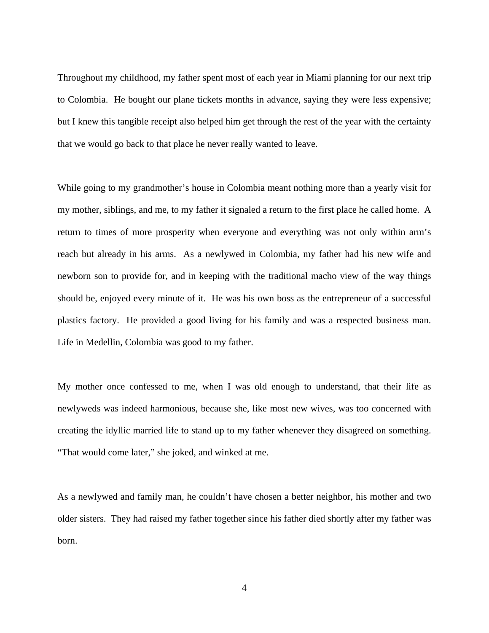Throughout my childhood, my father spent most of each year in Miami planning for our next trip to Colombia. He bought our plane tickets months in advance, saying they were less expensive; but I knew this tangible receipt also helped him get through the rest of the year with the certainty that we would go back to that place he never really wanted to leave.

While going to my grandmother's house in Colombia meant nothing more than a yearly visit for my mother, siblings, and me, to my father it signaled a return to the first place he called home. A return to times of more prosperity when everyone and everything was not only within arm's reach but already in his arms. As a newlywed in Colombia, my father had his new wife and newborn son to provide for, and in keeping with the traditional macho view of the way things should be, enjoyed every minute of it. He was his own boss as the entrepreneur of a successful plastics factory. He provided a good living for his family and was a respected business man. Life in Medellin, Colombia was good to my father.

My mother once confessed to me, when I was old enough to understand, that their life as newlyweds was indeed harmonious, because she, like most new wives, was too concerned with creating the idyllic married life to stand up to my father whenever they disagreed on something. "That would come later," she joked, and winked at me.

As a newlywed and family man, he couldn't have chosen a better neighbor, his mother and two older sisters. They had raised my father together since his father died shortly after my father was born.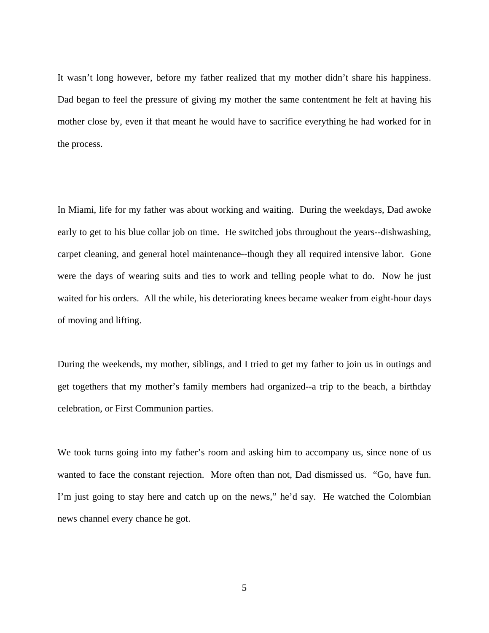It wasn't long however, before my father realized that my mother didn't share his happiness. Dad began to feel the pressure of giving my mother the same contentment he felt at having his mother close by, even if that meant he would have to sacrifice everything he had worked for in the process.

In Miami, life for my father was about working and waiting. During the weekdays, Dad awoke early to get to his blue collar job on time. He switched jobs throughout the years--dishwashing, carpet cleaning, and general hotel maintenance--though they all required intensive labor. Gone were the days of wearing suits and ties to work and telling people what to do. Now he just waited for his orders. All the while, his deteriorating knees became weaker from eight-hour days of moving and lifting.

During the weekends, my mother, siblings, and I tried to get my father to join us in outings and get togethers that my mother's family members had organized--a trip to the beach, a birthday celebration, or First Communion parties.

We took turns going into my father's room and asking him to accompany us, since none of us wanted to face the constant rejection. More often than not, Dad dismissed us. "Go, have fun. I'm just going to stay here and catch up on the news," he'd say. He watched the Colombian news channel every chance he got.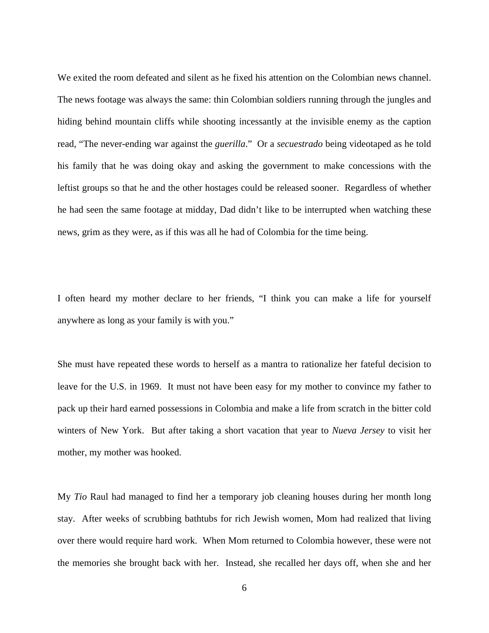We exited the room defeated and silent as he fixed his attention on the Colombian news channel. The news footage was always the same: thin Colombian soldiers running through the jungles and hiding behind mountain cliffs while shooting incessantly at the invisible enemy as the caption read, "The never-ending war against the *guerilla*." Or a *secuestrado* being videotaped as he told his family that he was doing okay and asking the government to make concessions with the leftist groups so that he and the other hostages could be released sooner. Regardless of whether he had seen the same footage at midday, Dad didn't like to be interrupted when watching these news, grim as they were, as if this was all he had of Colombia for the time being.

I often heard my mother declare to her friends, "I think you can make a life for yourself anywhere as long as your family is with you."

She must have repeated these words to herself as a mantra to rationalize her fateful decision to leave for the U.S. in 1969. It must not have been easy for my mother to convince my father to pack up their hard earned possessions in Colombia and make a life from scratch in the bitter cold winters of New York. But after taking a short vacation that year to *Nueva Jersey* to visit her mother, my mother was hooked.

My *Tio* Raul had managed to find her a temporary job cleaning houses during her month long stay. After weeks of scrubbing bathtubs for rich Jewish women, Mom had realized that living over there would require hard work. When Mom returned to Colombia however, these were not the memories she brought back with her. Instead, she recalled her days off, when she and her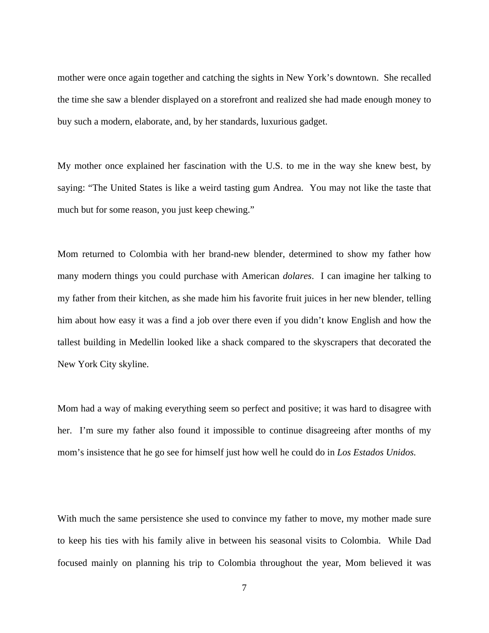mother were once again together and catching the sights in New York's downtown. She recalled the time she saw a blender displayed on a storefront and realized she had made enough money to buy such a modern, elaborate, and, by her standards, luxurious gadget.

My mother once explained her fascination with the U.S. to me in the way she knew best, by saying: "The United States is like a weird tasting gum Andrea. You may not like the taste that much but for some reason, you just keep chewing."

Mom returned to Colombia with her brand-new blender, determined to show my father how many modern things you could purchase with American *dolares*. I can imagine her talking to my father from their kitchen, as she made him his favorite fruit juices in her new blender, telling him about how easy it was a find a job over there even if you didn't know English and how the tallest building in Medellin looked like a shack compared to the skyscrapers that decorated the New York City skyline.

Mom had a way of making everything seem so perfect and positive; it was hard to disagree with her. I'm sure my father also found it impossible to continue disagreeing after months of my mom's insistence that he go see for himself just how well he could do in *Los Estados Unidos.* 

With much the same persistence she used to convince my father to move, my mother made sure to keep his ties with his family alive in between his seasonal visits to Colombia. While Dad focused mainly on planning his trip to Colombia throughout the year, Mom believed it was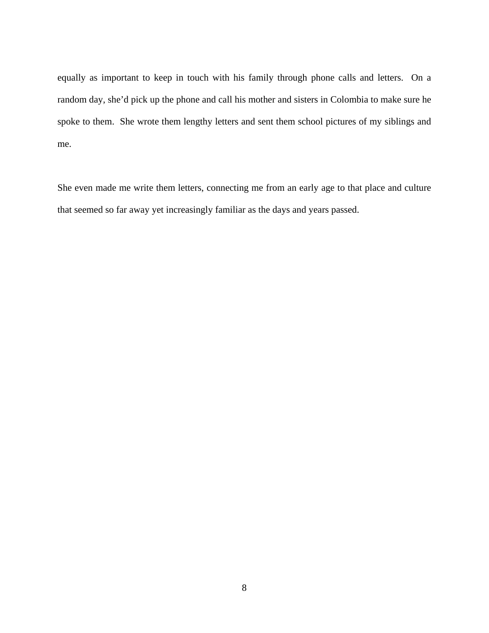equally as important to keep in touch with his family through phone calls and letters. On a random day, she'd pick up the phone and call his mother and sisters in Colombia to make sure he spoke to them. She wrote them lengthy letters and sent them school pictures of my siblings and me.

She even made me write them letters, connecting me from an early age to that place and culture that seemed so far away yet increasingly familiar as the days and years passed.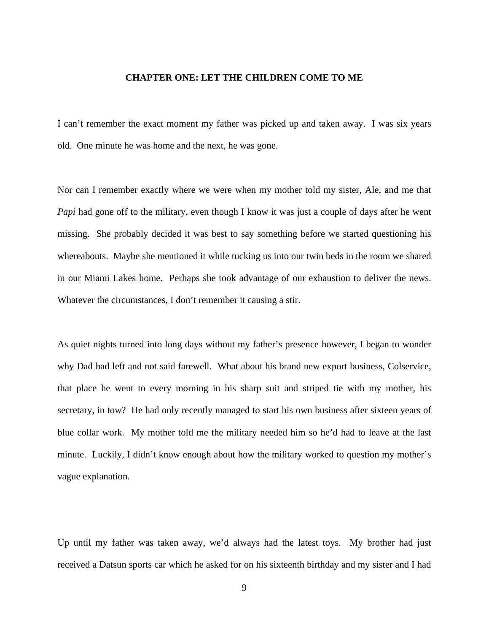#### <span id="page-15-0"></span>**CHAPTER ONE: LET THE CHILDREN COME TO ME**

I can't remember the exact moment my father was picked up and taken away. I was six years old. One minute he was home and the next, he was gone.

Nor can I remember exactly where we were when my mother told my sister, Ale, and me that *Papi* had gone off to the military, even though I know it was just a couple of days after he went missing. She probably decided it was best to say something before we started questioning his whereabouts. Maybe she mentioned it while tucking us into our twin beds in the room we shared in our Miami Lakes home. Perhaps she took advantage of our exhaustion to deliver the news. Whatever the circumstances, I don't remember it causing a stir.

As quiet nights turned into long days without my father's presence however, I began to wonder why Dad had left and not said farewell. What about his brand new export business, Colservice, that place he went to every morning in his sharp suit and striped tie with my mother, his secretary, in tow? He had only recently managed to start his own business after sixteen years of blue collar work. My mother told me the military needed him so he'd had to leave at the last minute. Luckily, I didn't know enough about how the military worked to question my mother's vague explanation.

Up until my father was taken away, we'd always had the latest toys. My brother had just received a Datsun sports car which he asked for on his sixteenth birthday and my sister and I had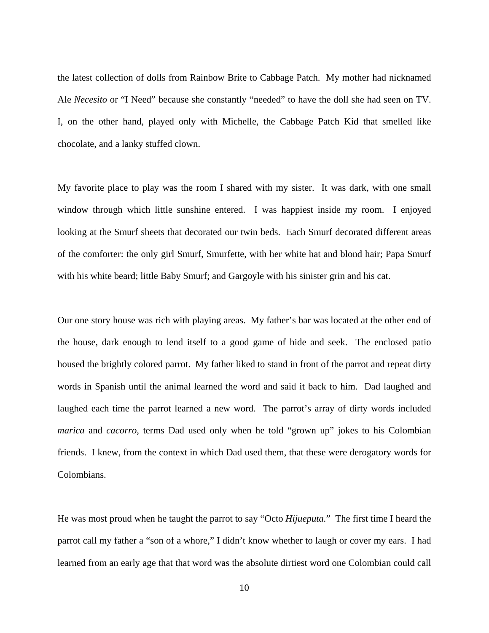the latest collection of dolls from Rainbow Brite to Cabbage Patch. My mother had nicknamed Ale *Necesito* or "I Need" because she constantly "needed" to have the doll she had seen on TV. I, on the other hand, played only with Michelle, the Cabbage Patch Kid that smelled like chocolate, and a lanky stuffed clown.

My favorite place to play was the room I shared with my sister. It was dark, with one small window through which little sunshine entered. I was happiest inside my room. I enjoyed looking at the Smurf sheets that decorated our twin beds. Each Smurf decorated different areas of the comforter: the only girl Smurf, Smurfette, with her white hat and blond hair; Papa Smurf with his white beard; little Baby Smurf; and Gargoyle with his sinister grin and his cat.

Our one story house was rich with playing areas. My father's bar was located at the other end of the house, dark enough to lend itself to a good game of hide and seek. The enclosed patio housed the brightly colored parrot. My father liked to stand in front of the parrot and repeat dirty words in Spanish until the animal learned the word and said it back to him. Dad laughed and laughed each time the parrot learned a new word. The parrot's array of dirty words included *marica* and *cacorro*, terms Dad used only when he told "grown up" jokes to his Colombian friends. I knew, from the context in which Dad used them, that these were derogatory words for Colombians.

He was most proud when he taught the parrot to say "Octo *Hijueputa.*" The first time I heard the parrot call my father a "son of a whore," I didn't know whether to laugh or cover my ears. I had learned from an early age that that word was the absolute dirtiest word one Colombian could call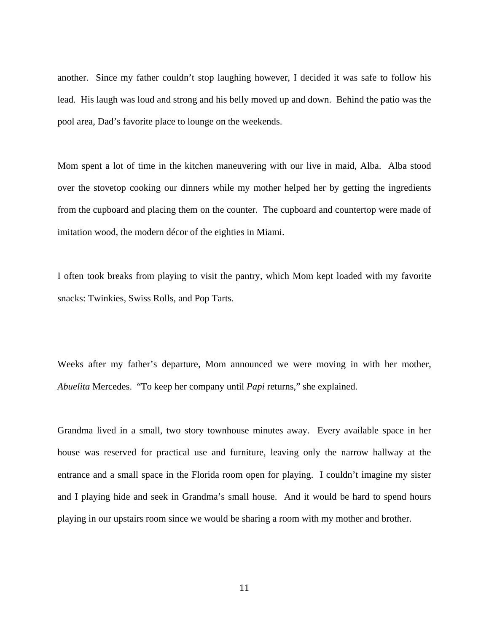another. Since my father couldn't stop laughing however, I decided it was safe to follow his lead. His laugh was loud and strong and his belly moved up and down. Behind the patio was the pool area, Dad's favorite place to lounge on the weekends.

Mom spent a lot of time in the kitchen maneuvering with our live in maid, Alba. Alba stood over the stovetop cooking our dinners while my mother helped her by getting the ingredients from the cupboard and placing them on the counter. The cupboard and countertop were made of imitation wood, the modern décor of the eighties in Miami.

I often took breaks from playing to visit the pantry, which Mom kept loaded with my favorite snacks: Twinkies, Swiss Rolls, and Pop Tarts.

Weeks after my father's departure, Mom announced we were moving in with her mother, *Abuelita* Mercedes. "To keep her company until *Papi* returns," she explained.

Grandma lived in a small, two story townhouse minutes away. Every available space in her house was reserved for practical use and furniture, leaving only the narrow hallway at the entrance and a small space in the Florida room open for playing. I couldn't imagine my sister and I playing hide and seek in Grandma's small house. And it would be hard to spend hours playing in our upstairs room since we would be sharing a room with my mother and brother.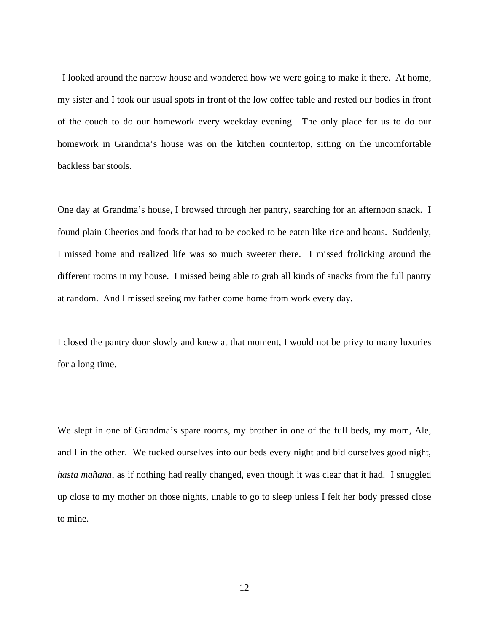I looked around the narrow house and wondered how we were going to make it there. At home, my sister and I took our usual spots in front of the low coffee table and rested our bodies in front of the couch to do our homework every weekday evening. The only place for us to do our homework in Grandma's house was on the kitchen countertop, sitting on the uncomfortable backless bar stools.

One day at Grandma's house, I browsed through her pantry, searching for an afternoon snack. I found plain Cheerios and foods that had to be cooked to be eaten like rice and beans. Suddenly, I missed home and realized life was so much sweeter there. I missed frolicking around the different rooms in my house. I missed being able to grab all kinds of snacks from the full pantry at random. And I missed seeing my father come home from work every day.

I closed the pantry door slowly and knew at that moment, I would not be privy to many luxuries for a long time.

We slept in one of Grandma's spare rooms, my brother in one of the full beds, my mom, Ale, and I in the other. We tucked ourselves into our beds every night and bid ourselves good night, *hasta mañana*, as if nothing had really changed, even though it was clear that it had. I snuggled up close to my mother on those nights, unable to go to sleep unless I felt her body pressed close to mine.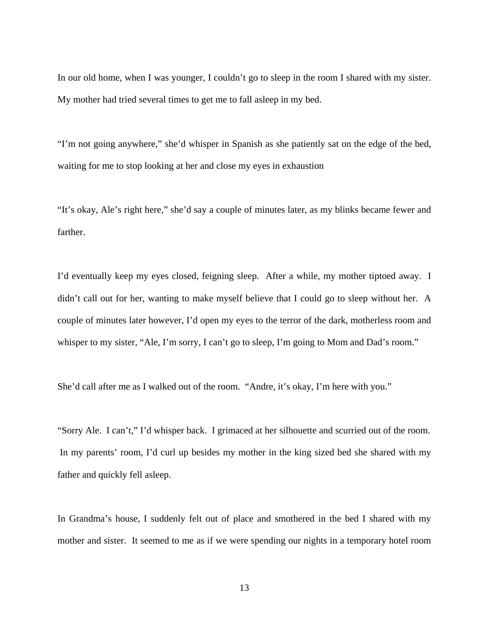In our old home, when I was younger, I couldn't go to sleep in the room I shared with my sister. My mother had tried several times to get me to fall asleep in my bed.

"I'm not going anywhere," she'd whisper in Spanish as she patiently sat on the edge of the bed, waiting for me to stop looking at her and close my eyes in exhaustion

"It's okay, Ale's right here," she'd say a couple of minutes later, as my blinks became fewer and farther.

I'd eventually keep my eyes closed, feigning sleep. After a while, my mother tiptoed away. I didn't call out for her, wanting to make myself believe that I could go to sleep without her. A couple of minutes later however, I'd open my eyes to the terror of the dark, motherless room and whisper to my sister, "Ale, I'm sorry, I can't go to sleep, I'm going to Mom and Dad's room."

She'd call after me as I walked out of the room. "Andre, it's okay, I'm here with you."

"Sorry Ale. I can't," I'd whisper back. I grimaced at her silhouette and scurried out of the room. In my parents' room, I'd curl up besides my mother in the king sized bed she shared with my father and quickly fell asleep.

In Grandma's house, I suddenly felt out of place and smothered in the bed I shared with my mother and sister. It seemed to me as if we were spending our nights in a temporary hotel room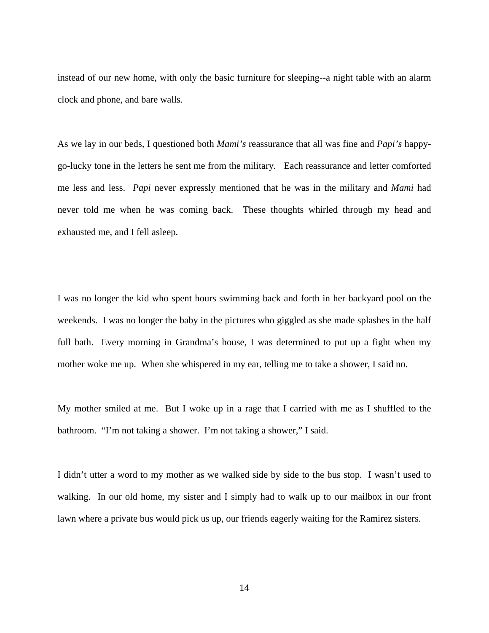instead of our new home, with only the basic furniture for sleeping--a night table with an alarm clock and phone, and bare walls.

As we lay in our beds, I questioned both *Mami's* reassurance that all was fine and *Papi's* happygo-lucky tone in the letters he sent me from the military*.* Each reassurance and letter comforted me less and less. *Papi* never expressly mentioned that he was in the military and *Mami* had never told me when he was coming back. These thoughts whirled through my head and exhausted me, and I fell asleep.

I was no longer the kid who spent hours swimming back and forth in her backyard pool on the weekends. I was no longer the baby in the pictures who giggled as she made splashes in the half full bath. Every morning in Grandma's house, I was determined to put up a fight when my mother woke me up. When she whispered in my ear, telling me to take a shower, I said no.

My mother smiled at me. But I woke up in a rage that I carried with me as I shuffled to the bathroom. "I'm not taking a shower. I'm not taking a shower," I said.

I didn't utter a word to my mother as we walked side by side to the bus stop. I wasn't used to walking. In our old home, my sister and I simply had to walk up to our mailbox in our front lawn where a private bus would pick us up, our friends eagerly waiting for the Ramirez sisters.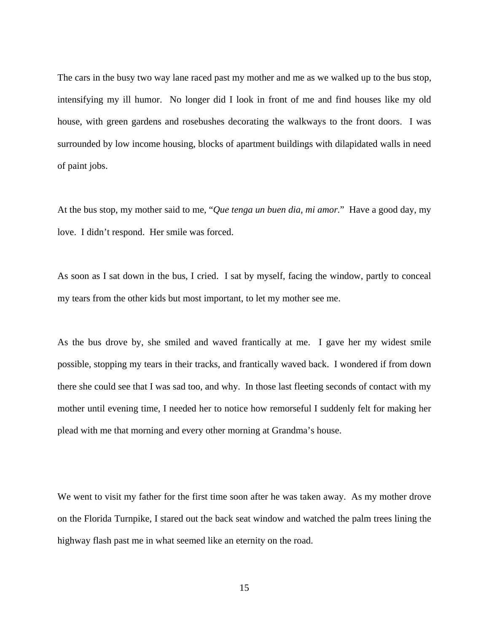The cars in the busy two way lane raced past my mother and me as we walked up to the bus stop, intensifying my ill humor. No longer did I look in front of me and find houses like my old house, with green gardens and rosebushes decorating the walkways to the front doors. I was surrounded by low income housing, blocks of apartment buildings with dilapidated walls in need of paint jobs.

At the bus stop, my mother said to me, "*Que tenga un buen dia, mi amor.*" Have a good day, my love. I didn't respond. Her smile was forced.

As soon as I sat down in the bus, I cried. I sat by myself, facing the window, partly to conceal my tears from the other kids but most important, to let my mother see me.

As the bus drove by, she smiled and waved frantically at me. I gave her my widest smile possible, stopping my tears in their tracks, and frantically waved back. I wondered if from down there she could see that I was sad too, and why. In those last fleeting seconds of contact with my mother until evening time, I needed her to notice how remorseful I suddenly felt for making her plead with me that morning and every other morning at Grandma's house.

We went to visit my father for the first time soon after he was taken away. As my mother drove on the Florida Turnpike, I stared out the back seat window and watched the palm trees lining the highway flash past me in what seemed like an eternity on the road.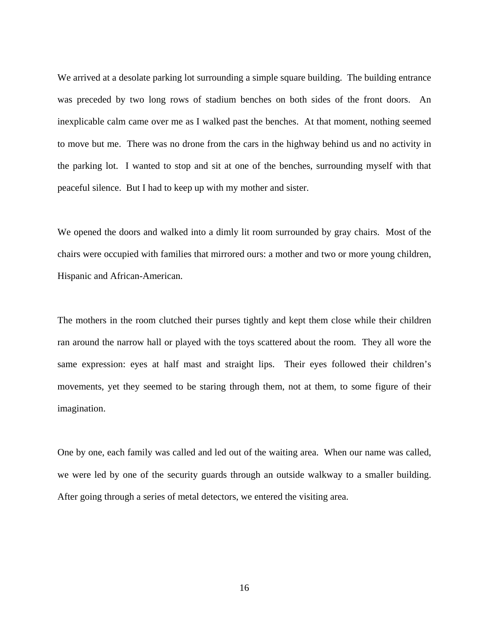We arrived at a desolate parking lot surrounding a simple square building. The building entrance was preceded by two long rows of stadium benches on both sides of the front doors. An inexplicable calm came over me as I walked past the benches. At that moment, nothing seemed to move but me. There was no drone from the cars in the highway behind us and no activity in the parking lot. I wanted to stop and sit at one of the benches, surrounding myself with that peaceful silence. But I had to keep up with my mother and sister.

We opened the doors and walked into a dimly lit room surrounded by gray chairs. Most of the chairs were occupied with families that mirrored ours: a mother and two or more young children, Hispanic and African-American.

The mothers in the room clutched their purses tightly and kept them close while their children ran around the narrow hall or played with the toys scattered about the room. They all wore the same expression: eyes at half mast and straight lips. Their eyes followed their children's movements, yet they seemed to be staring through them, not at them, to some figure of their imagination.

One by one, each family was called and led out of the waiting area. When our name was called, we were led by one of the security guards through an outside walkway to a smaller building. After going through a series of metal detectors, we entered the visiting area.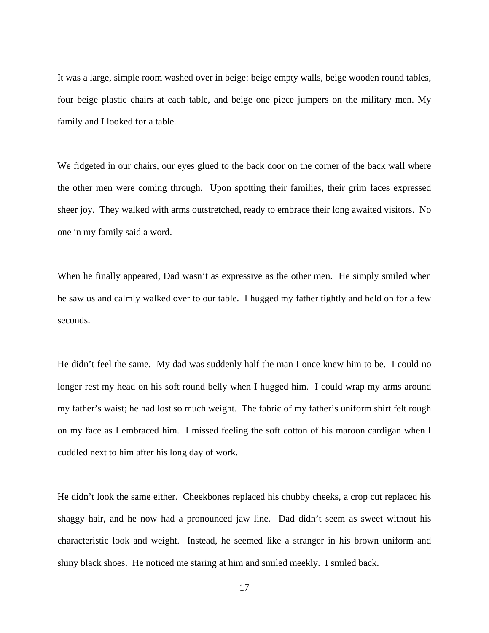It was a large, simple room washed over in beige: beige empty walls, beige wooden round tables, four beige plastic chairs at each table, and beige one piece jumpers on the military men. My family and I looked for a table.

We fidgeted in our chairs, our eyes glued to the back door on the corner of the back wall where the other men were coming through. Upon spotting their families, their grim faces expressed sheer joy. They walked with arms outstretched, ready to embrace their long awaited visitors. No one in my family said a word.

When he finally appeared, Dad wasn't as expressive as the other men. He simply smiled when he saw us and calmly walked over to our table. I hugged my father tightly and held on for a few seconds.

He didn't feel the same. My dad was suddenly half the man I once knew him to be. I could no longer rest my head on his soft round belly when I hugged him. I could wrap my arms around my father's waist; he had lost so much weight. The fabric of my father's uniform shirt felt rough on my face as I embraced him. I missed feeling the soft cotton of his maroon cardigan when I cuddled next to him after his long day of work.

He didn't look the same either. Cheekbones replaced his chubby cheeks, a crop cut replaced his shaggy hair, and he now had a pronounced jaw line. Dad didn't seem as sweet without his characteristic look and weight. Instead, he seemed like a stranger in his brown uniform and shiny black shoes. He noticed me staring at him and smiled meekly. I smiled back.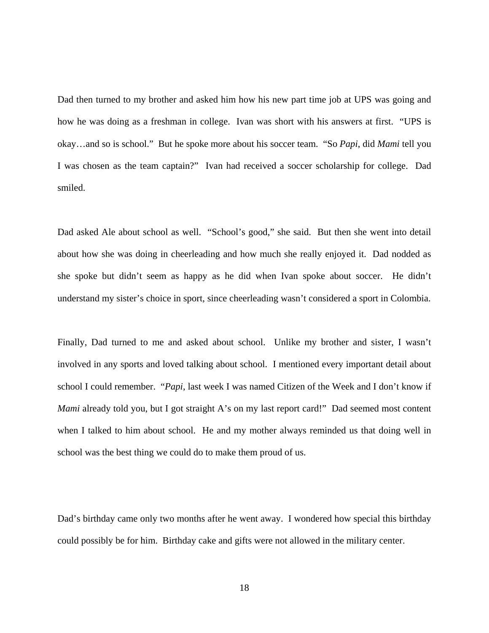Dad then turned to my brother and asked him how his new part time job at UPS was going and how he was doing as a freshman in college. Ivan was short with his answers at first. "UPS is okay…and so is school." But he spoke more about his soccer team. "So *Papi*, did *Mami* tell you I was chosen as the team captain?" Ivan had received a soccer scholarship for college. Dad smiled.

Dad asked Ale about school as well. "School's good," she said. But then she went into detail about how she was doing in cheerleading and how much she really enjoyed it. Dad nodded as she spoke but didn't seem as happy as he did when Ivan spoke about soccer. He didn't understand my sister's choice in sport, since cheerleading wasn't considered a sport in Colombia.

Finally, Dad turned to me and asked about school. Unlike my brother and sister, I wasn't involved in any sports and loved talking about school. I mentioned every important detail about school I could remember. "*Papi*, last week I was named Citizen of the Week and I don't know if *Mami* already told you, but I got straight A's on my last report card!" Dad seemed most content when I talked to him about school. He and my mother always reminded us that doing well in school was the best thing we could do to make them proud of us.

Dad's birthday came only two months after he went away. I wondered how special this birthday could possibly be for him. Birthday cake and gifts were not allowed in the military center.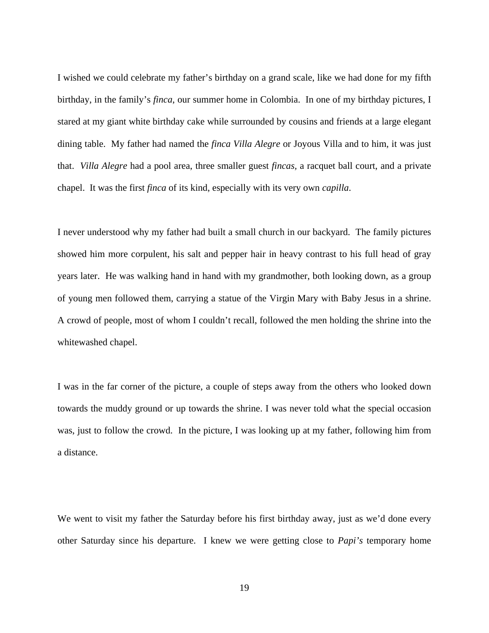I wished we could celebrate my father's birthday on a grand scale, like we had done for my fifth birthday, in the family's *finca*, our summer home in Colombia. In one of my birthday pictures, I stared at my giant white birthday cake while surrounded by cousins and friends at a large elegant dining table. My father had named the *finca Villa Alegre* or Joyous Villa and to him, it was just that. *Villa Alegre* had a pool area, three smaller guest *fincas,* a racquet ball court, and a private chapel. It was the first *finca* of its kind, especially with its very own *capilla*.

I never understood why my father had built a small church in our backyard. The family pictures showed him more corpulent, his salt and pepper hair in heavy contrast to his full head of gray years later. He was walking hand in hand with my grandmother, both looking down, as a group of young men followed them, carrying a statue of the Virgin Mary with Baby Jesus in a shrine. A crowd of people, most of whom I couldn't recall, followed the men holding the shrine into the whitewashed chapel.

I was in the far corner of the picture, a couple of steps away from the others who looked down towards the muddy ground or up towards the shrine. I was never told what the special occasion was, just to follow the crowd. In the picture, I was looking up at my father, following him from a distance.

We went to visit my father the Saturday before his first birthday away, just as we'd done every other Saturday since his departure. I knew we were getting close to *Papi's* temporary home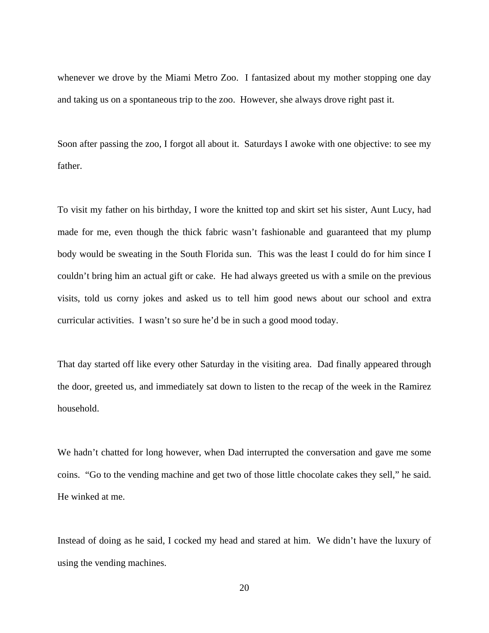whenever we drove by the Miami Metro Zoo. I fantasized about my mother stopping one day and taking us on a spontaneous trip to the zoo. However, she always drove right past it.

Soon after passing the zoo, I forgot all about it. Saturdays I awoke with one objective: to see my father.

To visit my father on his birthday, I wore the knitted top and skirt set his sister, Aunt Lucy, had made for me, even though the thick fabric wasn't fashionable and guaranteed that my plump body would be sweating in the South Florida sun. This was the least I could do for him since I couldn't bring him an actual gift or cake. He had always greeted us with a smile on the previous visits, told us corny jokes and asked us to tell him good news about our school and extra curricular activities. I wasn't so sure he'd be in such a good mood today.

That day started off like every other Saturday in the visiting area. Dad finally appeared through the door, greeted us, and immediately sat down to listen to the recap of the week in the Ramirez household.

We hadn't chatted for long however, when Dad interrupted the conversation and gave me some coins. "Go to the vending machine and get two of those little chocolate cakes they sell," he said. He winked at me.

Instead of doing as he said, I cocked my head and stared at him. We didn't have the luxury of using the vending machines.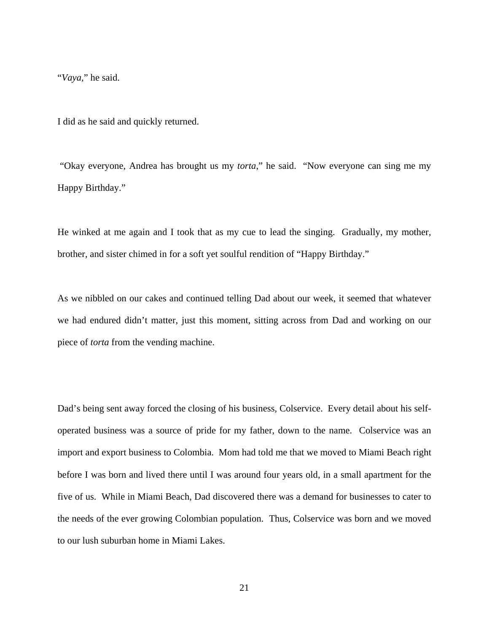"*Vaya,*" he said.

I did as he said and quickly returned.

 "Okay everyone, Andrea has brought us my *torta*," he said. "Now everyone can sing me my Happy Birthday."

He winked at me again and I took that as my cue to lead the singing. Gradually, my mother, brother, and sister chimed in for a soft yet soulful rendition of "Happy Birthday."

As we nibbled on our cakes and continued telling Dad about our week, it seemed that whatever we had endured didn't matter, just this moment, sitting across from Dad and working on our piece of *torta* from the vending machine.

Dad's being sent away forced the closing of his business, Colservice. Every detail about his selfoperated business was a source of pride for my father, down to the name. Colservice was an import and export business to Colombia. Mom had told me that we moved to Miami Beach right before I was born and lived there until I was around four years old, in a small apartment for the five of us. While in Miami Beach, Dad discovered there was a demand for businesses to cater to the needs of the ever growing Colombian population. Thus, Colservice was born and we moved to our lush suburban home in Miami Lakes.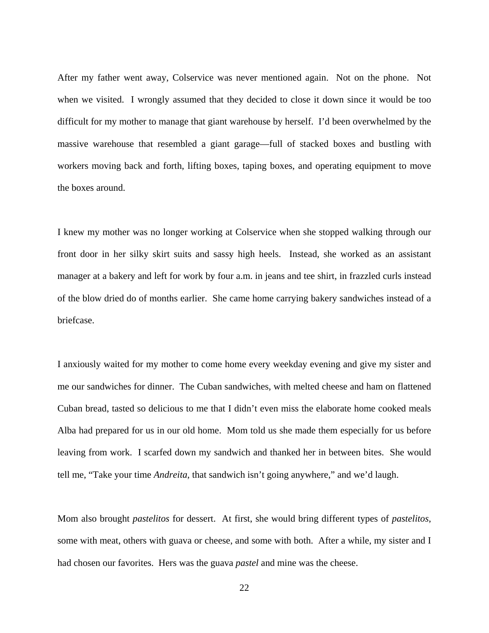After my father went away, Colservice was never mentioned again. Not on the phone. Not when we visited. I wrongly assumed that they decided to close it down since it would be too difficult for my mother to manage that giant warehouse by herself. I'd been overwhelmed by the massive warehouse that resembled a giant garage—full of stacked boxes and bustling with workers moving back and forth, lifting boxes, taping boxes, and operating equipment to move the boxes around.

I knew my mother was no longer working at Colservice when she stopped walking through our front door in her silky skirt suits and sassy high heels. Instead, she worked as an assistant manager at a bakery and left for work by four a.m. in jeans and tee shirt, in frazzled curls instead of the blow dried do of months earlier. She came home carrying bakery sandwiches instead of a briefcase.

I anxiously waited for my mother to come home every weekday evening and give my sister and me our sandwiches for dinner. The Cuban sandwiches, with melted cheese and ham on flattened Cuban bread, tasted so delicious to me that I didn't even miss the elaborate home cooked meals Alba had prepared for us in our old home. Mom told us she made them especially for us before leaving from work. I scarfed down my sandwich and thanked her in between bites. She would tell me, "Take your time *Andreita*, that sandwich isn't going anywhere," and we'd laugh.

Mom also brought *pastelitos* for dessert. At first, she would bring different types of *pastelitos*, some with meat, others with guava or cheese, and some with both. After a while, my sister and I had chosen our favorites. Hers was the guava *pastel* and mine was the cheese.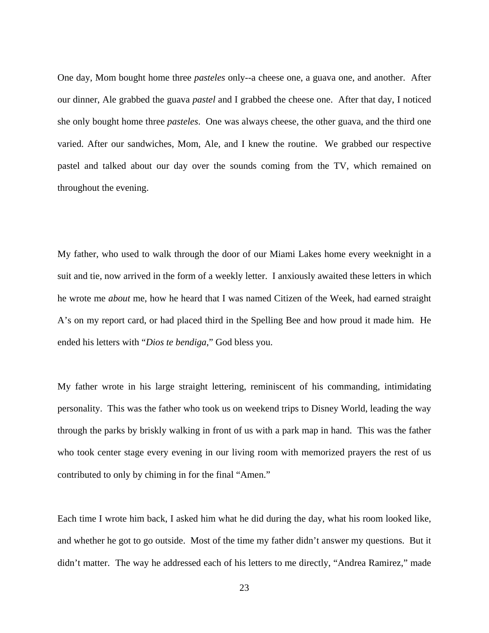One day, Mom bought home three *pasteles* only--a cheese one, a guava one, and another. After our dinner, Ale grabbed the guava *pastel* and I grabbed the cheese one. After that day, I noticed she only bought home three *pasteles*. One was always cheese, the other guava, and the third one varied. After our sandwiches, Mom, Ale, and I knew the routine. We grabbed our respective pastel and talked about our day over the sounds coming from the TV, which remained on throughout the evening.

My father, who used to walk through the door of our Miami Lakes home every weeknight in a suit and tie, now arrived in the form of a weekly letter. I anxiously awaited these letters in which he wrote me *about* me, how he heard that I was named Citizen of the Week, had earned straight A's on my report card, or had placed third in the Spelling Bee and how proud it made him. He ended his letters with "*Dios te bendiga*," God bless you.

My father wrote in his large straight lettering, reminiscent of his commanding, intimidating personality. This was the father who took us on weekend trips to Disney World, leading the way through the parks by briskly walking in front of us with a park map in hand. This was the father who took center stage every evening in our living room with memorized prayers the rest of us contributed to only by chiming in for the final "Amen."

Each time I wrote him back, I asked him what he did during the day, what his room looked like, and whether he got to go outside. Most of the time my father didn't answer my questions. But it didn't matter. The way he addressed each of his letters to me directly, "Andrea Ramirez," made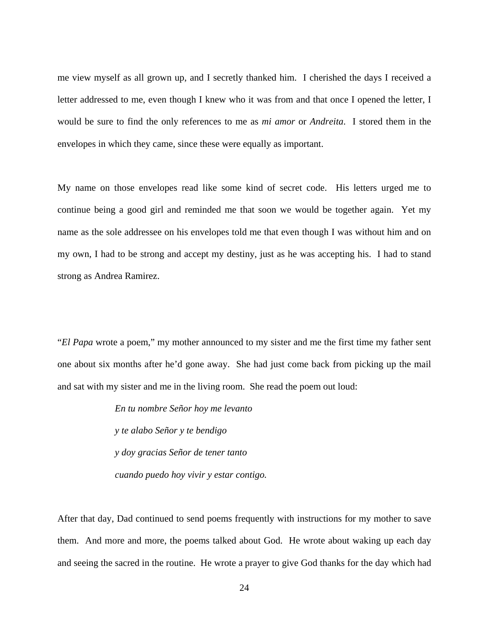me view myself as all grown up, and I secretly thanked him. I cherished the days I received a letter addressed to me, even though I knew who it was from and that once I opened the letter, I would be sure to find the only references to me as *mi amor* or *Andreita*. I stored them in the envelopes in which they came, since these were equally as important.

My name on those envelopes read like some kind of secret code. His letters urged me to continue being a good girl and reminded me that soon we would be together again. Yet my name as the sole addressee on his envelopes told me that even though I was without him and on my own, I had to be strong and accept my destiny, just as he was accepting his. I had to stand strong as Andrea Ramirez.

"*El Papa* wrote a poem," my mother announced to my sister and me the first time my father sent one about six months after he'd gone away. She had just come back from picking up the mail and sat with my sister and me in the living room. She read the poem out loud:

> *En tu nombre Señor hoy me levanto y te alabo Señor y te bendigo y doy gracias Señor de tener tanto cuando puedo hoy vivir y estar contigo.*

After that day, Dad continued to send poems frequently with instructions for my mother to save them. And more and more, the poems talked about God. He wrote about waking up each day and seeing the sacred in the routine. He wrote a prayer to give God thanks for the day which had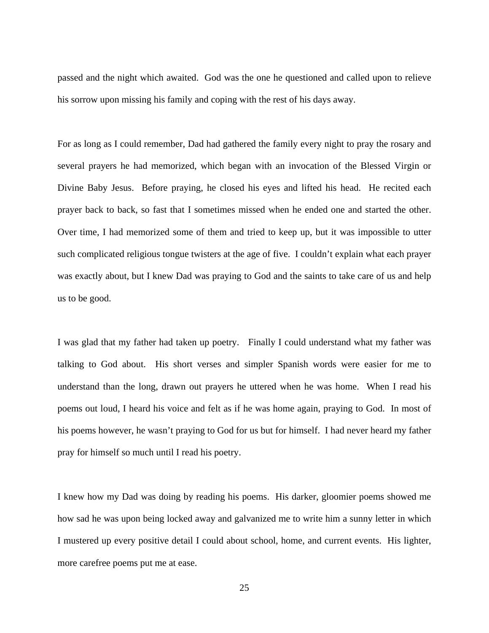passed and the night which awaited. God was the one he questioned and called upon to relieve his sorrow upon missing his family and coping with the rest of his days away.

For as long as I could remember, Dad had gathered the family every night to pray the rosary and several prayers he had memorized, which began with an invocation of the Blessed Virgin or Divine Baby Jesus. Before praying, he closed his eyes and lifted his head. He recited each prayer back to back, so fast that I sometimes missed when he ended one and started the other. Over time, I had memorized some of them and tried to keep up, but it was impossible to utter such complicated religious tongue twisters at the age of five. I couldn't explain what each prayer was exactly about, but I knew Dad was praying to God and the saints to take care of us and help us to be good.

I was glad that my father had taken up poetry. Finally I could understand what my father was talking to God about. His short verses and simpler Spanish words were easier for me to understand than the long, drawn out prayers he uttered when he was home. When I read his poems out loud, I heard his voice and felt as if he was home again, praying to God. In most of his poems however, he wasn't praying to God for us but for himself. I had never heard my father pray for himself so much until I read his poetry.

I knew how my Dad was doing by reading his poems. His darker, gloomier poems showed me how sad he was upon being locked away and galvanized me to write him a sunny letter in which I mustered up every positive detail I could about school, home, and current events. His lighter, more carefree poems put me at ease.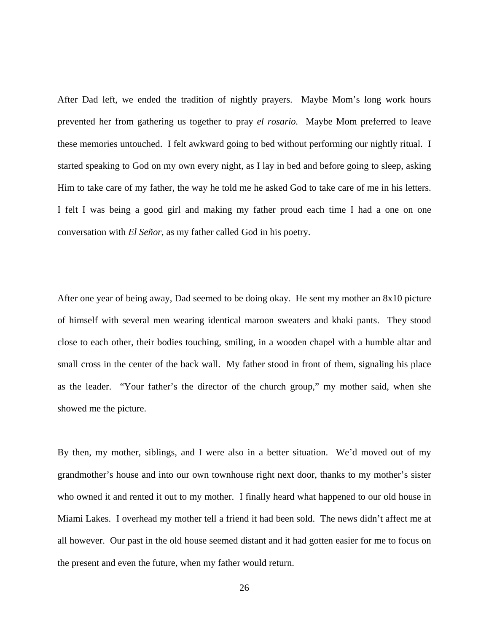After Dad left, we ended the tradition of nightly prayers. Maybe Mom's long work hours prevented her from gathering us together to pray *el rosario.* Maybe Mom preferred to leave these memories untouched. I felt awkward going to bed without performing our nightly ritual. I started speaking to God on my own every night, as I lay in bed and before going to sleep, asking Him to take care of my father, the way he told me he asked God to take care of me in his letters. I felt I was being a good girl and making my father proud each time I had a one on one conversation with *El Señor,* as my father called God in his poetry.

After one year of being away, Dad seemed to be doing okay. He sent my mother an 8x10 picture of himself with several men wearing identical maroon sweaters and khaki pants. They stood close to each other, their bodies touching, smiling, in a wooden chapel with a humble altar and small cross in the center of the back wall. My father stood in front of them, signaling his place as the leader. "Your father's the director of the church group," my mother said, when she showed me the picture.

By then, my mother, siblings, and I were also in a better situation. We'd moved out of my grandmother's house and into our own townhouse right next door, thanks to my mother's sister who owned it and rented it out to my mother. I finally heard what happened to our old house in Miami Lakes. I overhead my mother tell a friend it had been sold. The news didn't affect me at all however. Our past in the old house seemed distant and it had gotten easier for me to focus on the present and even the future, when my father would return.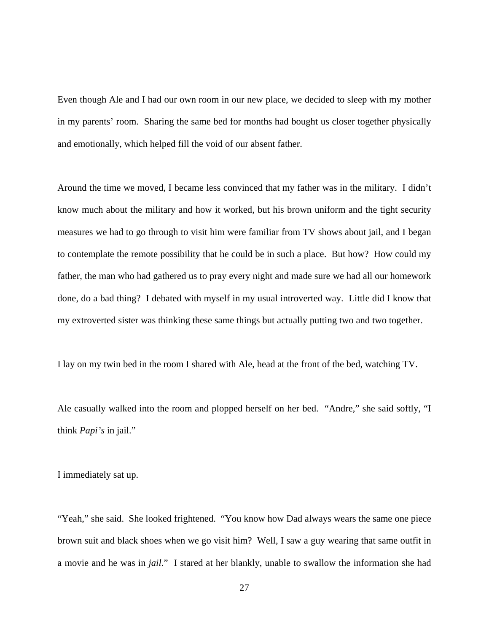Even though Ale and I had our own room in our new place, we decided to sleep with my mother in my parents' room. Sharing the same bed for months had bought us closer together physically and emotionally, which helped fill the void of our absent father.

Around the time we moved, I became less convinced that my father was in the military. I didn't know much about the military and how it worked, but his brown uniform and the tight security measures we had to go through to visit him were familiar from TV shows about jail, and I began to contemplate the remote possibility that he could be in such a place. But how? How could my father, the man who had gathered us to pray every night and made sure we had all our homework done, do a bad thing? I debated with myself in my usual introverted way. Little did I know that my extroverted sister was thinking these same things but actually putting two and two together.

I lay on my twin bed in the room I shared with Ale, head at the front of the bed, watching TV.

Ale casually walked into the room and plopped herself on her bed. "Andre," she said softly, "I think *Papi's* in jail."

I immediately sat up.

"Yeah," she said. She looked frightened. "You know how Dad always wears the same one piece brown suit and black shoes when we go visit him? Well, I saw a guy wearing that same outfit in a movie and he was in *jail*." I stared at her blankly, unable to swallow the information she had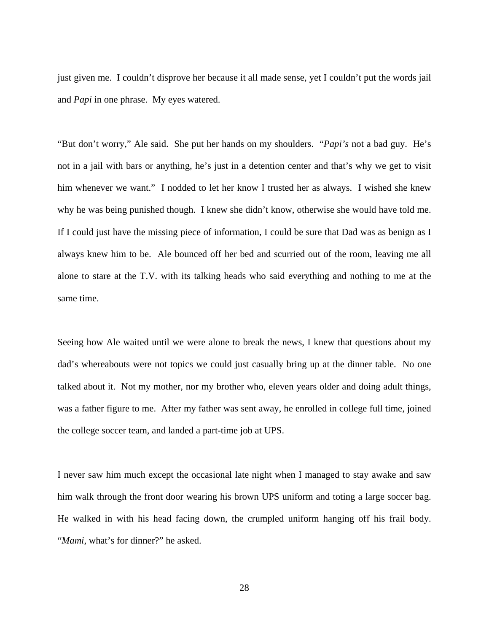just given me. I couldn't disprove her because it all made sense, yet I couldn't put the words jail and *Papi* in one phrase. My eyes watered.

"But don't worry," Ale said. She put her hands on my shoulders. "*Papi's* not a bad guy. He's not in a jail with bars or anything, he's just in a detention center and that's why we get to visit him whenever we want." I nodded to let her know I trusted her as always. I wished she knew why he was being punished though. I knew she didn't know, otherwise she would have told me. If I could just have the missing piece of information, I could be sure that Dad was as benign as I always knew him to be. Ale bounced off her bed and scurried out of the room, leaving me all alone to stare at the T.V. with its talking heads who said everything and nothing to me at the same time.

Seeing how Ale waited until we were alone to break the news, I knew that questions about my dad's whereabouts were not topics we could just casually bring up at the dinner table. No one talked about it. Not my mother, nor my brother who, eleven years older and doing adult things, was a father figure to me. After my father was sent away, he enrolled in college full time, joined the college soccer team, and landed a part-time job at UPS.

I never saw him much except the occasional late night when I managed to stay awake and saw him walk through the front door wearing his brown UPS uniform and toting a large soccer bag. He walked in with his head facing down, the crumpled uniform hanging off his frail body. "*Mami*, what's for dinner?" he asked.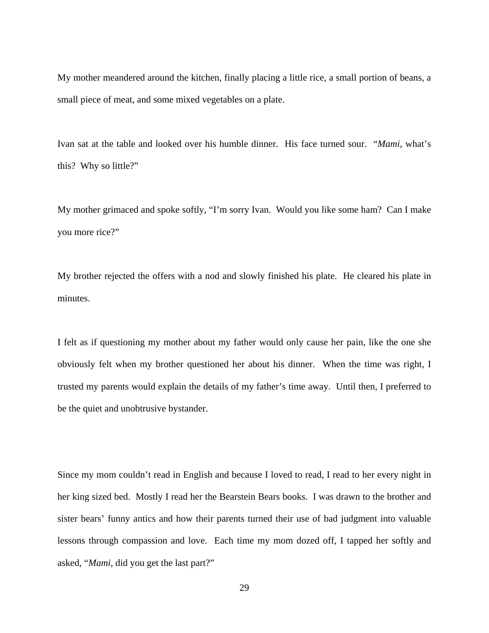My mother meandered around the kitchen, finally placing a little rice, a small portion of beans, a small piece of meat, and some mixed vegetables on a plate.

Ivan sat at the table and looked over his humble dinner. His face turned sour. "*Mami*, what's this? Why so little?"

My mother grimaced and spoke softly, "I'm sorry Ivan. Would you like some ham? Can I make you more rice?"

My brother rejected the offers with a nod and slowly finished his plate. He cleared his plate in minutes.

I felt as if questioning my mother about my father would only cause her pain, like the one she obviously felt when my brother questioned her about his dinner. When the time was right, I trusted my parents would explain the details of my father's time away. Until then, I preferred to be the quiet and unobtrusive bystander.

Since my mom couldn't read in English and because I loved to read, I read to her every night in her king sized bed. Mostly I read her the Bearstein Bears books. I was drawn to the brother and sister bears' funny antics and how their parents turned their use of bad judgment into valuable lessons through compassion and love. Each time my mom dozed off, I tapped her softly and asked, "*Mami*, did you get the last part?"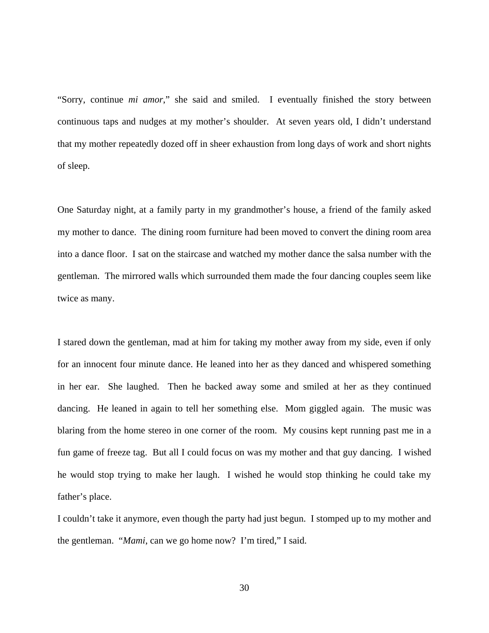"Sorry, continue *mi amor*," she said and smiled. I eventually finished the story between continuous taps and nudges at my mother's shoulder. At seven years old, I didn't understand that my mother repeatedly dozed off in sheer exhaustion from long days of work and short nights of sleep.

One Saturday night, at a family party in my grandmother's house, a friend of the family asked my mother to dance. The dining room furniture had been moved to convert the dining room area into a dance floor. I sat on the staircase and watched my mother dance the salsa number with the gentleman. The mirrored walls which surrounded them made the four dancing couples seem like twice as many.

I stared down the gentleman, mad at him for taking my mother away from my side, even if only for an innocent four minute dance. He leaned into her as they danced and whispered something in her ear. She laughed. Then he backed away some and smiled at her as they continued dancing. He leaned in again to tell her something else. Mom giggled again. The music was blaring from the home stereo in one corner of the room. My cousins kept running past me in a fun game of freeze tag. But all I could focus on was my mother and that guy dancing. I wished he would stop trying to make her laugh. I wished he would stop thinking he could take my father's place.

I couldn't take it anymore, even though the party had just begun. I stomped up to my mother and the gentleman. "*Mami*, can we go home now? I'm tired," I said.

30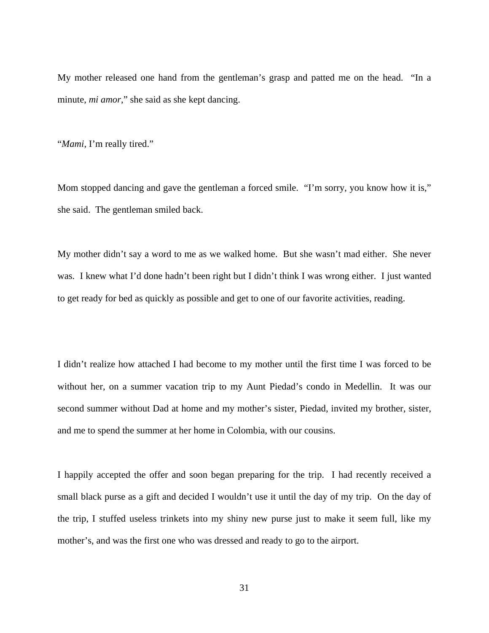My mother released one hand from the gentleman's grasp and patted me on the head. "In a minute, *mi amor*," she said as she kept dancing.

"*Mami*, I'm really tired."

Mom stopped dancing and gave the gentleman a forced smile. "I'm sorry, you know how it is," she said. The gentleman smiled back.

My mother didn't say a word to me as we walked home. But she wasn't mad either. She never was. I knew what I'd done hadn't been right but I didn't think I was wrong either. I just wanted to get ready for bed as quickly as possible and get to one of our favorite activities, reading.

I didn't realize how attached I had become to my mother until the first time I was forced to be without her, on a summer vacation trip to my Aunt Piedad's condo in Medellin. It was our second summer without Dad at home and my mother's sister, Piedad, invited my brother, sister, and me to spend the summer at her home in Colombia, with our cousins.

I happily accepted the offer and soon began preparing for the trip. I had recently received a small black purse as a gift and decided I wouldn't use it until the day of my trip. On the day of the trip, I stuffed useless trinkets into my shiny new purse just to make it seem full, like my mother's, and was the first one who was dressed and ready to go to the airport.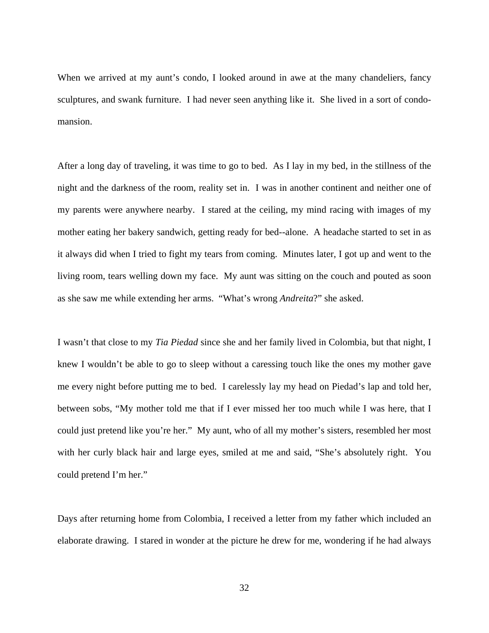When we arrived at my aunt's condo, I looked around in awe at the many chandeliers, fancy sculptures, and swank furniture. I had never seen anything like it. She lived in a sort of condomansion.

After a long day of traveling, it was time to go to bed. As I lay in my bed, in the stillness of the night and the darkness of the room, reality set in. I was in another continent and neither one of my parents were anywhere nearby. I stared at the ceiling, my mind racing with images of my mother eating her bakery sandwich, getting ready for bed--alone. A headache started to set in as it always did when I tried to fight my tears from coming. Minutes later, I got up and went to the living room, tears welling down my face. My aunt was sitting on the couch and pouted as soon as she saw me while extending her arms. "What's wrong *Andreita*?" she asked.

I wasn't that close to my *Tia Piedad* since she and her family lived in Colombia, but that night, I knew I wouldn't be able to go to sleep without a caressing touch like the ones my mother gave me every night before putting me to bed. I carelessly lay my head on Piedad's lap and told her, between sobs, "My mother told me that if I ever missed her too much while I was here, that I could just pretend like you're her." My aunt, who of all my mother's sisters, resembled her most with her curly black hair and large eyes, smiled at me and said, "She's absolutely right. You could pretend I'm her."

Days after returning home from Colombia, I received a letter from my father which included an elaborate drawing. I stared in wonder at the picture he drew for me, wondering if he had always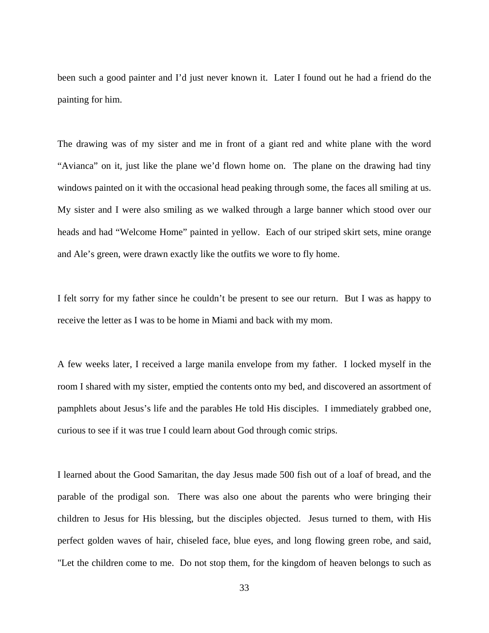been such a good painter and I'd just never known it. Later I found out he had a friend do the painting for him.

The drawing was of my sister and me in front of a giant red and white plane with the word "Avianca" on it, just like the plane we'd flown home on. The plane on the drawing had tiny windows painted on it with the occasional head peaking through some, the faces all smiling at us. My sister and I were also smiling as we walked through a large banner which stood over our heads and had "Welcome Home" painted in yellow. Each of our striped skirt sets, mine orange and Ale's green, were drawn exactly like the outfits we wore to fly home.

I felt sorry for my father since he couldn't be present to see our return. But I was as happy to receive the letter as I was to be home in Miami and back with my mom.

A few weeks later, I received a large manila envelope from my father. I locked myself in the room I shared with my sister, emptied the contents onto my bed, and discovered an assortment of pamphlets about Jesus's life and the parables He told His disciples. I immediately grabbed one, curious to see if it was true I could learn about God through comic strips.

I learned about the Good Samaritan, the day Jesus made 500 fish out of a loaf of bread, and the parable of the prodigal son. There was also one about the parents who were bringing their children to Jesus for His blessing, but the disciples objected. Jesus turned to them, with His perfect golden waves of hair, chiseled face, blue eyes, and long flowing green robe, and said, "Let the children come to me. Do not stop them, for the kingdom of heaven belongs to such as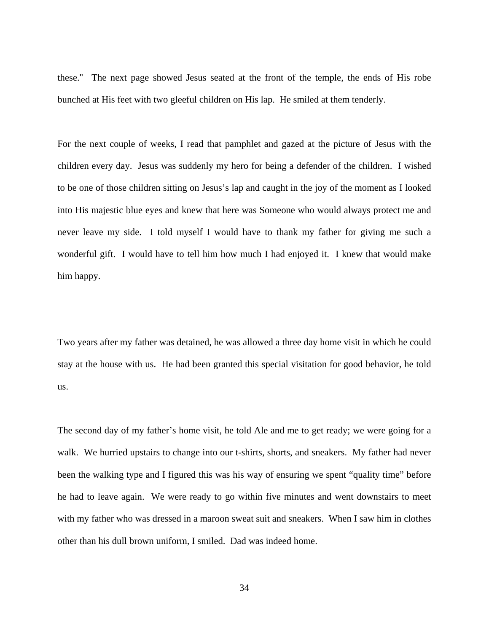these." The next page showed Jesus seated at the front of the temple, the ends of His robe bunched at His feet with two gleeful children on His lap. He smiled at them tenderly.

For the next couple of weeks, I read that pamphlet and gazed at the picture of Jesus with the children every day. Jesus was suddenly my hero for being a defender of the children. I wished to be one of those children sitting on Jesus's lap and caught in the joy of the moment as I looked into His majestic blue eyes and knew that here was Someone who would always protect me and never leave my side. I told myself I would have to thank my father for giving me such a wonderful gift. I would have to tell him how much I had enjoyed it. I knew that would make him happy.

Two years after my father was detained, he was allowed a three day home visit in which he could stay at the house with us. He had been granted this special visitation for good behavior, he told us.

The second day of my father's home visit, he told Ale and me to get ready; we were going for a walk. We hurried upstairs to change into our t-shirts, shorts, and sneakers. My father had never been the walking type and I figured this was his way of ensuring we spent "quality time" before he had to leave again. We were ready to go within five minutes and went downstairs to meet with my father who was dressed in a maroon sweat suit and sneakers. When I saw him in clothes other than his dull brown uniform, I smiled. Dad was indeed home.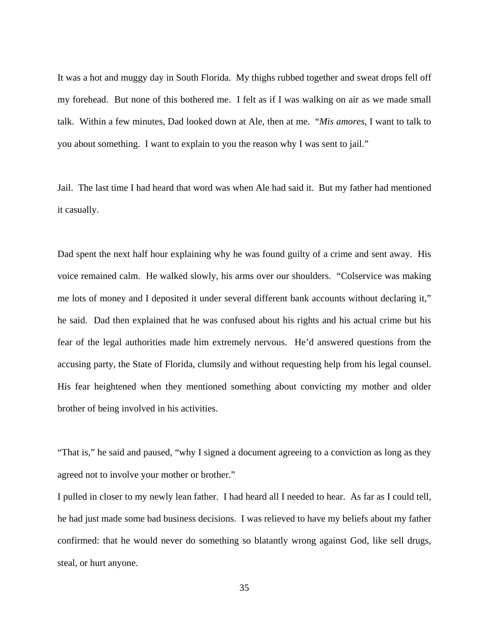It was a hot and muggy day in South Florida. My thighs rubbed together and sweat drops fell off my forehead. But none of this bothered me. I felt as if I was walking on air as we made small talk. Within a few minutes, Dad looked down at Ale, then at me. "*Mis amores*, I want to talk to you about something. I want to explain to you the reason why I was sent to jail."

Jail. The last time I had heard that word was when Ale had said it. But my father had mentioned it casually.

Dad spent the next half hour explaining why he was found guilty of a crime and sent away. His voice remained calm. He walked slowly, his arms over our shoulders. "Colservice was making me lots of money and I deposited it under several different bank accounts without declaring it," he said. Dad then explained that he was confused about his rights and his actual crime but his fear of the legal authorities made him extremely nervous. He'd answered questions from the accusing party, the State of Florida, clumsily and without requesting help from his legal counsel. His fear heightened when they mentioned something about convicting my mother and older brother of being involved in his activities.

"That is," he said and paused, "why I signed a document agreeing to a conviction as long as they agreed not to involve your mother or brother."

I pulled in closer to my newly lean father. I had heard all I needed to hear. As far as I could tell, he had just made some bad business decisions. I was relieved to have my beliefs about my father confirmed: that he would never do something so blatantly wrong against God, like sell drugs, steal, or hurt anyone.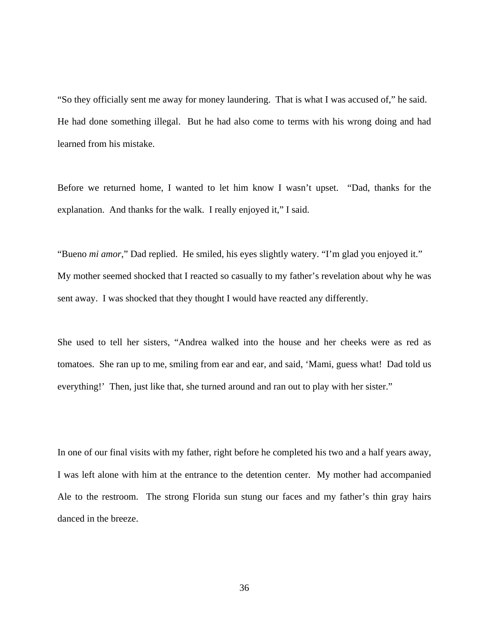"So they officially sent me away for money laundering. That is what I was accused of," he said. He had done something illegal. But he had also come to terms with his wrong doing and had learned from his mistake.

Before we returned home, I wanted to let him know I wasn't upset. "Dad, thanks for the explanation. And thanks for the walk. I really enjoyed it," I said.

"Bueno *mi amor*," Dad replied. He smiled, his eyes slightly watery. "I'm glad you enjoyed it." My mother seemed shocked that I reacted so casually to my father's revelation about why he was sent away. I was shocked that they thought I would have reacted any differently.

She used to tell her sisters, "Andrea walked into the house and her cheeks were as red as tomatoes. She ran up to me, smiling from ear and ear, and said, 'Mami, guess what! Dad told us everything!' Then, just like that, she turned around and ran out to play with her sister."

In one of our final visits with my father, right before he completed his two and a half years away, I was left alone with him at the entrance to the detention center. My mother had accompanied Ale to the restroom. The strong Florida sun stung our faces and my father's thin gray hairs danced in the breeze.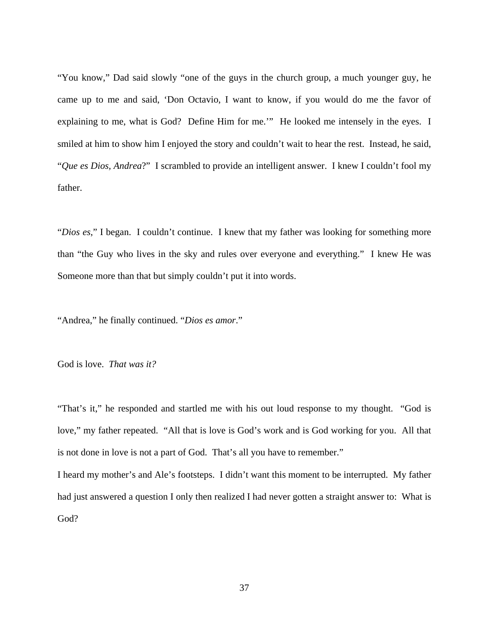"You know," Dad said slowly "one of the guys in the church group, a much younger guy, he came up to me and said, 'Don Octavio, I want to know, if you would do me the favor of explaining to me, what is God? Define Him for me.'" He looked me intensely in the eyes. I smiled at him to show him I enjoyed the story and couldn't wait to hear the rest. Instead, he said, "*Que es Dios, Andrea*?" I scrambled to provide an intelligent answer. I knew I couldn't fool my father.

"*Dios es*," I began. I couldn't continue. I knew that my father was looking for something more than "the Guy who lives in the sky and rules over everyone and everything." I knew He was Someone more than that but simply couldn't put it into words.

"Andrea," he finally continued. "*Dios es amor*."

God is love. *That was it?*

"That's it," he responded and startled me with his out loud response to my thought. "God is love," my father repeated. "All that is love is God's work and is God working for you. All that is not done in love is not a part of God. That's all you have to remember."

I heard my mother's and Ale's footsteps. I didn't want this moment to be interrupted. My father had just answered a question I only then realized I had never gotten a straight answer to: What is God?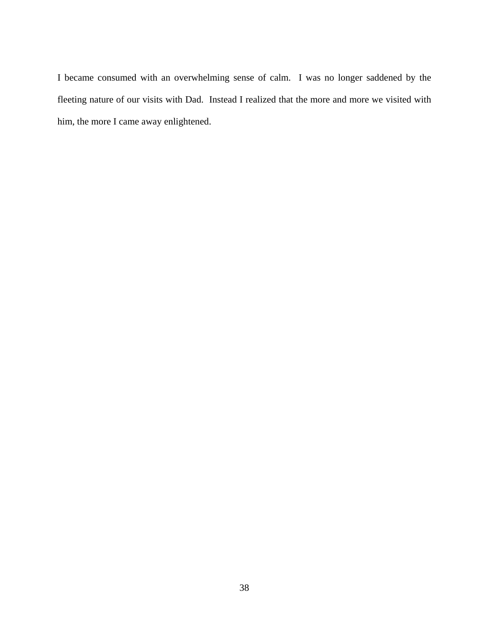I became consumed with an overwhelming sense of calm. I was no longer saddened by the fleeting nature of our visits with Dad. Instead I realized that the more and more we visited with him, the more I came away enlightened.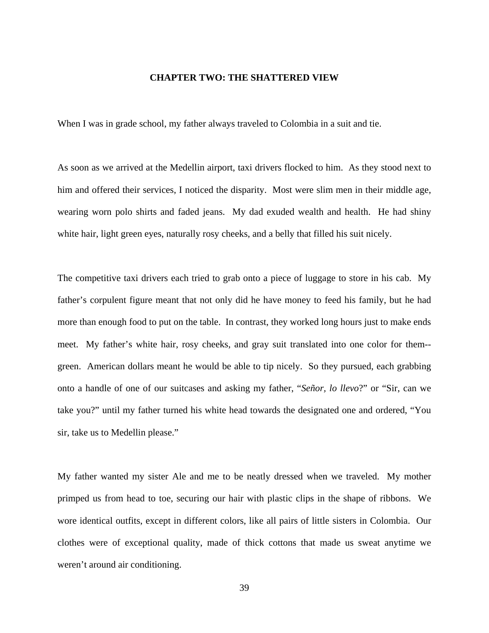## **CHAPTER TWO: THE SHATTERED VIEW**

When I was in grade school, my father always traveled to Colombia in a suit and tie.

As soon as we arrived at the Medellin airport, taxi drivers flocked to him. As they stood next to him and offered their services, I noticed the disparity. Most were slim men in their middle age, wearing worn polo shirts and faded jeans. My dad exuded wealth and health. He had shiny white hair, light green eyes, naturally rosy cheeks, and a belly that filled his suit nicely.

The competitive taxi drivers each tried to grab onto a piece of luggage to store in his cab. My father's corpulent figure meant that not only did he have money to feed his family, but he had more than enough food to put on the table. In contrast, they worked long hours just to make ends meet. My father's white hair, rosy cheeks, and gray suit translated into one color for them- green. American dollars meant he would be able to tip nicely. So they pursued, each grabbing onto a handle of one of our suitcases and asking my father, "*Señor, lo llevo*?" or "Sir, can we take you?" until my father turned his white head towards the designated one and ordered, "You sir, take us to Medellin please."

My father wanted my sister Ale and me to be neatly dressed when we traveled. My mother primped us from head to toe, securing our hair with plastic clips in the shape of ribbons. We wore identical outfits, except in different colors, like all pairs of little sisters in Colombia. Our clothes were of exceptional quality, made of thick cottons that made us sweat anytime we weren't around air conditioning.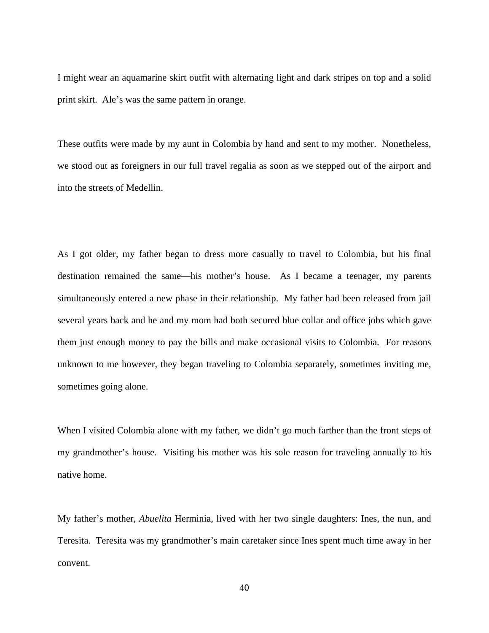I might wear an aquamarine skirt outfit with alternating light and dark stripes on top and a solid print skirt. Ale's was the same pattern in orange.

These outfits were made by my aunt in Colombia by hand and sent to my mother. Nonetheless, we stood out as foreigners in our full travel regalia as soon as we stepped out of the airport and into the streets of Medellin.

As I got older, my father began to dress more casually to travel to Colombia, but his final destination remained the same—his mother's house. As I became a teenager, my parents simultaneously entered a new phase in their relationship. My father had been released from jail several years back and he and my mom had both secured blue collar and office jobs which gave them just enough money to pay the bills and make occasional visits to Colombia. For reasons unknown to me however, they began traveling to Colombia separately, sometimes inviting me, sometimes going alone.

When I visited Colombia alone with my father, we didn't go much farther than the front steps of my grandmother's house. Visiting his mother was his sole reason for traveling annually to his native home.

My father's mother, *Abuelita* Herminia, lived with her two single daughters: Ines, the nun, and Teresita. Teresita was my grandmother's main caretaker since Ines spent much time away in her convent.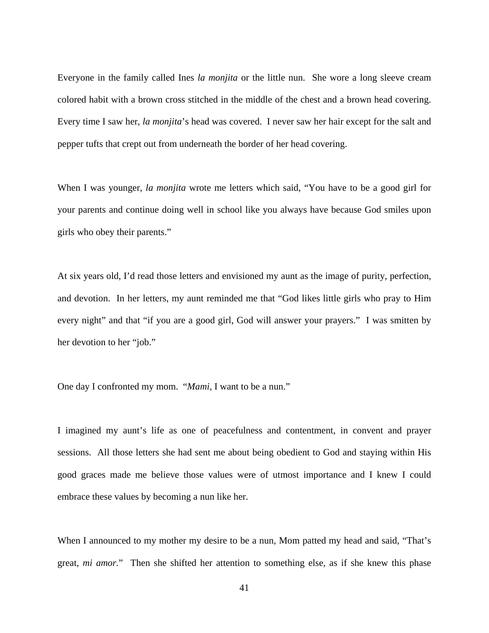Everyone in the family called Ines *la monjita* or the little nun. She wore a long sleeve cream colored habit with a brown cross stitched in the middle of the chest and a brown head covering. Every time I saw her, *la monjita*'s head was covered. I never saw her hair except for the salt and pepper tufts that crept out from underneath the border of her head covering.

When I was younger, *la monjita* wrote me letters which said, "You have to be a good girl for your parents and continue doing well in school like you always have because God smiles upon girls who obey their parents."

At six years old, I'd read those letters and envisioned my aunt as the image of purity, perfection, and devotion. In her letters, my aunt reminded me that "God likes little girls who pray to Him every night" and that "if you are a good girl, God will answer your prayers." I was smitten by her devotion to her "job."

One day I confronted my mom. "*Mami,* I want to be a nun."

I imagined my aunt's life as one of peacefulness and contentment, in convent and prayer sessions. All those letters she had sent me about being obedient to God and staying within His good graces made me believe those values were of utmost importance and I knew I could embrace these values by becoming a nun like her.

When I announced to my mother my desire to be a nun, Mom patted my head and said, "That's great, *mi amor.*" Then she shifted her attention to something else, as if she knew this phase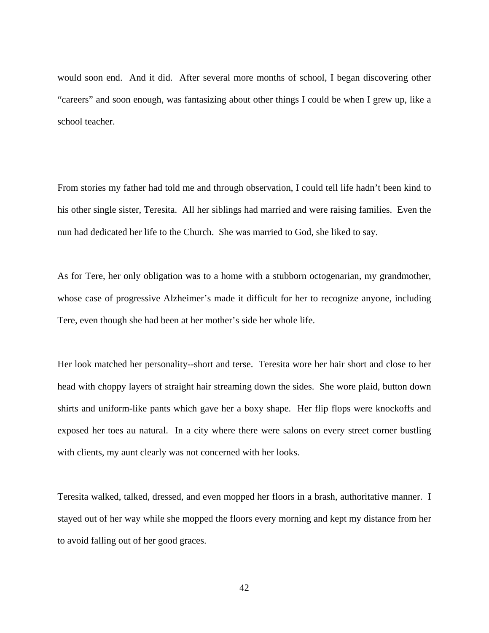would soon end. And it did. After several more months of school, I began discovering other "careers" and soon enough, was fantasizing about other things I could be when I grew up, like a school teacher.

From stories my father had told me and through observation, I could tell life hadn't been kind to his other single sister, Teresita. All her siblings had married and were raising families. Even the nun had dedicated her life to the Church. She was married to God, she liked to say.

As for Tere, her only obligation was to a home with a stubborn octogenarian, my grandmother, whose case of progressive Alzheimer's made it difficult for her to recognize anyone, including Tere, even though she had been at her mother's side her whole life.

Her look matched her personality--short and terse. Teresita wore her hair short and close to her head with choppy layers of straight hair streaming down the sides. She wore plaid, button down shirts and uniform-like pants which gave her a boxy shape. Her flip flops were knockoffs and exposed her toes au natural. In a city where there were salons on every street corner bustling with clients, my aunt clearly was not concerned with her looks.

Teresita walked, talked, dressed, and even mopped her floors in a brash, authoritative manner. I stayed out of her way while she mopped the floors every morning and kept my distance from her to avoid falling out of her good graces.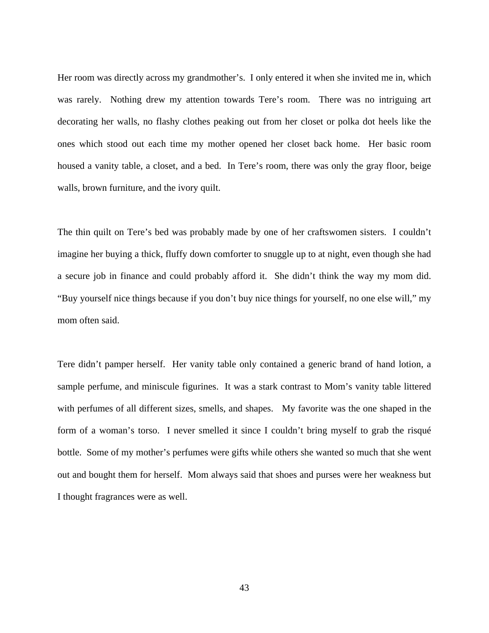Her room was directly across my grandmother's. I only entered it when she invited me in, which was rarely. Nothing drew my attention towards Tere's room. There was no intriguing art decorating her walls, no flashy clothes peaking out from her closet or polka dot heels like the ones which stood out each time my mother opened her closet back home. Her basic room housed a vanity table, a closet, and a bed. In Tere's room, there was only the gray floor, beige walls, brown furniture, and the ivory quilt.

The thin quilt on Tere's bed was probably made by one of her craftswomen sisters. I couldn't imagine her buying a thick, fluffy down comforter to snuggle up to at night, even though she had a secure job in finance and could probably afford it. She didn't think the way my mom did. "Buy yourself nice things because if you don't buy nice things for yourself, no one else will," my mom often said.

Tere didn't pamper herself. Her vanity table only contained a generic brand of hand lotion, a sample perfume, and miniscule figurines. It was a stark contrast to Mom's vanity table littered with perfumes of all different sizes, smells, and shapes. My favorite was the one shaped in the form of a woman's torso. I never smelled it since I couldn't bring myself to grab the risqué bottle. Some of my mother's perfumes were gifts while others she wanted so much that she went out and bought them for herself. Mom always said that shoes and purses were her weakness but I thought fragrances were as well.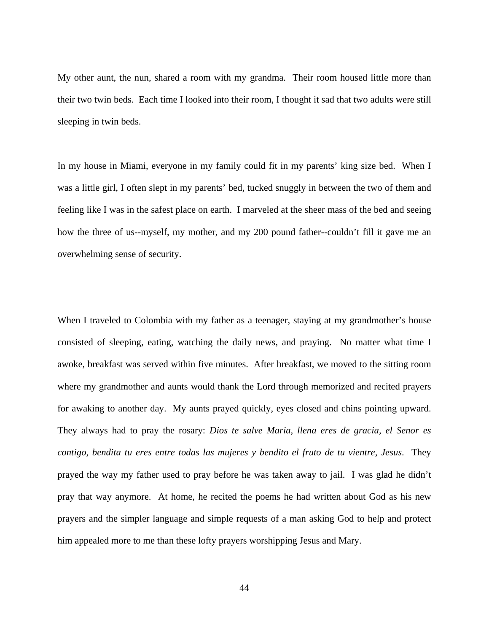My other aunt, the nun, shared a room with my grandma. Their room housed little more than their two twin beds. Each time I looked into their room, I thought it sad that two adults were still sleeping in twin beds.

In my house in Miami, everyone in my family could fit in my parents' king size bed. When I was a little girl, I often slept in my parents' bed, tucked snuggly in between the two of them and feeling like I was in the safest place on earth. I marveled at the sheer mass of the bed and seeing how the three of us--myself, my mother, and my 200 pound father--couldn't fill it gave me an overwhelming sense of security.

When I traveled to Colombia with my father as a teenager, staying at my grandmother's house consisted of sleeping, eating, watching the daily news, and praying. No matter what time I awoke, breakfast was served within five minutes. After breakfast, we moved to the sitting room where my grandmother and aunts would thank the Lord through memorized and recited prayers for awaking to another day. My aunts prayed quickly, eyes closed and chins pointing upward. They always had to pray the rosary: *Dios te salve Maria, llena eres de gracia, el Senor es contigo, bendita tu eres entre todas las mujeres y bendito el fruto de tu vientre, Jesus*. They prayed the way my father used to pray before he was taken away to jail. I was glad he didn't pray that way anymore. At home, he recited the poems he had written about God as his new prayers and the simpler language and simple requests of a man asking God to help and protect him appealed more to me than these lofty prayers worshipping Jesus and Mary.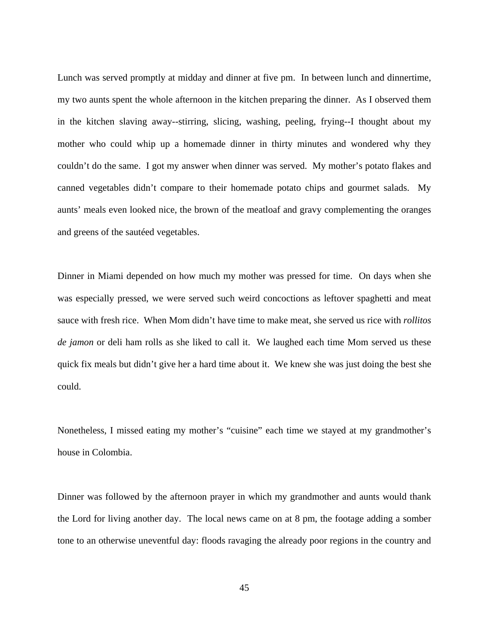Lunch was served promptly at midday and dinner at five pm. In between lunch and dinnertime, my two aunts spent the whole afternoon in the kitchen preparing the dinner. As I observed them in the kitchen slaving away--stirring, slicing, washing, peeling, frying--I thought about my mother who could whip up a homemade dinner in thirty minutes and wondered why they couldn't do the same. I got my answer when dinner was served. My mother's potato flakes and canned vegetables didn't compare to their homemade potato chips and gourmet salads. My aunts' meals even looked nice, the brown of the meatloaf and gravy complementing the oranges and greens of the sautéed vegetables.

Dinner in Miami depended on how much my mother was pressed for time. On days when she was especially pressed, we were served such weird concoctions as leftover spaghetti and meat sauce with fresh rice. When Mom didn't have time to make meat, she served us rice with *rollitos de jamon* or deli ham rolls as she liked to call it. We laughed each time Mom served us these quick fix meals but didn't give her a hard time about it. We knew she was just doing the best she could.

Nonetheless, I missed eating my mother's "cuisine" each time we stayed at my grandmother's house in Colombia.

Dinner was followed by the afternoon prayer in which my grandmother and aunts would thank the Lord for living another day. The local news came on at 8 pm, the footage adding a somber tone to an otherwise uneventful day: floods ravaging the already poor regions in the country and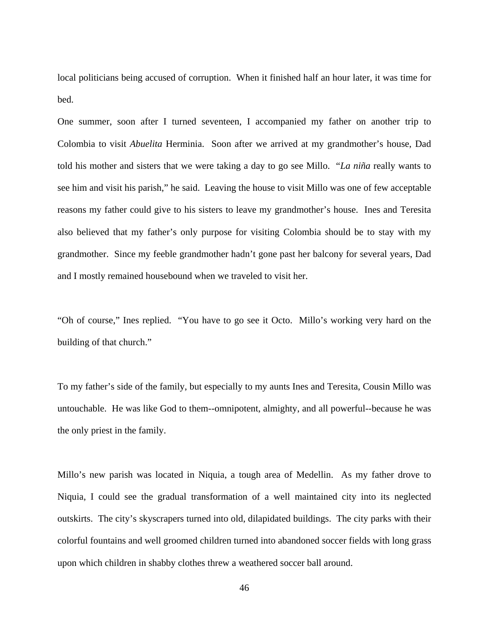local politicians being accused of corruption. When it finished half an hour later, it was time for bed.

One summer, soon after I turned seventeen, I accompanied my father on another trip to Colombia to visit *Abuelita* Herminia. Soon after we arrived at my grandmother's house, Dad told his mother and sisters that we were taking a day to go see Millo. "*La niña* really wants to see him and visit his parish," he said. Leaving the house to visit Millo was one of few acceptable reasons my father could give to his sisters to leave my grandmother's house. Ines and Teresita also believed that my father's only purpose for visiting Colombia should be to stay with my grandmother. Since my feeble grandmother hadn't gone past her balcony for several years, Dad and I mostly remained housebound when we traveled to visit her.

"Oh of course," Ines replied. "You have to go see it Octo. Millo's working very hard on the building of that church."

To my father's side of the family, but especially to my aunts Ines and Teresita, Cousin Millo was untouchable. He was like God to them--omnipotent, almighty, and all powerful--because he was the only priest in the family.

Millo's new parish was located in Niquia, a tough area of Medellin. As my father drove to Niquia, I could see the gradual transformation of a well maintained city into its neglected outskirts. The city's skyscrapers turned into old, dilapidated buildings. The city parks with their colorful fountains and well groomed children turned into abandoned soccer fields with long grass upon which children in shabby clothes threw a weathered soccer ball around.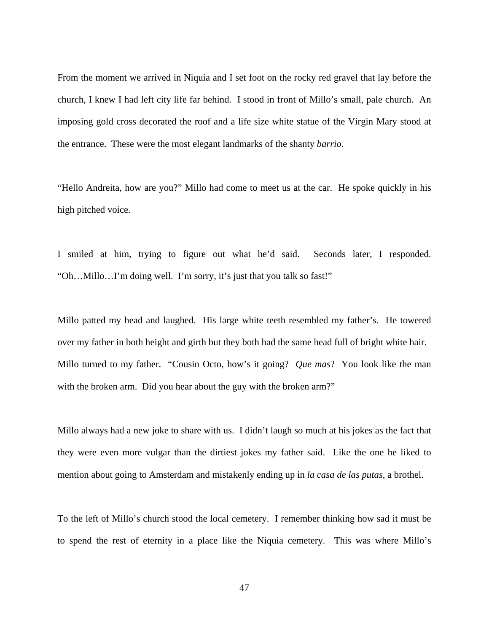From the moment we arrived in Niquia and I set foot on the rocky red gravel that lay before the church, I knew I had left city life far behind. I stood in front of Millo's small, pale church. An imposing gold cross decorated the roof and a life size white statue of the Virgin Mary stood at the entrance. These were the most elegant landmarks of the shanty *barrio*.

"Hello Andreita, how are you?" Millo had come to meet us at the car. He spoke quickly in his high pitched voice.

I smiled at him, trying to figure out what he'd said. Seconds later, I responded. "Oh…Millo…I'm doing well. I'm sorry, it's just that you talk so fast!"

Millo patted my head and laughed. His large white teeth resembled my father's. He towered over my father in both height and girth but they both had the same head full of bright white hair. Millo turned to my father. "Cousin Octo, how's it going? *Que mas*? You look like the man with the broken arm. Did you hear about the guy with the broken arm?"

Millo always had a new joke to share with us. I didn't laugh so much at his jokes as the fact that they were even more vulgar than the dirtiest jokes my father said. Like the one he liked to mention about going to Amsterdam and mistakenly ending up in *la casa de las putas*, a brothel.

To the left of Millo's church stood the local cemetery. I remember thinking how sad it must be to spend the rest of eternity in a place like the Niquia cemetery. This was where Millo's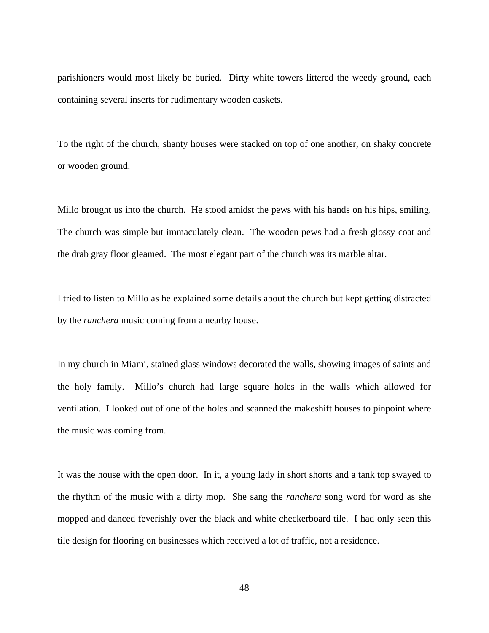parishioners would most likely be buried. Dirty white towers littered the weedy ground, each containing several inserts for rudimentary wooden caskets.

To the right of the church, shanty houses were stacked on top of one another, on shaky concrete or wooden ground.

Millo brought us into the church. He stood amidst the pews with his hands on his hips, smiling. The church was simple but immaculately clean. The wooden pews had a fresh glossy coat and the drab gray floor gleamed. The most elegant part of the church was its marble altar.

I tried to listen to Millo as he explained some details about the church but kept getting distracted by the *ranchera* music coming from a nearby house.

In my church in Miami, stained glass windows decorated the walls, showing images of saints and the holy family. Millo's church had large square holes in the walls which allowed for ventilation. I looked out of one of the holes and scanned the makeshift houses to pinpoint where the music was coming from.

It was the house with the open door. In it, a young lady in short shorts and a tank top swayed to the rhythm of the music with a dirty mop. She sang the *ranchera* song word for word as she mopped and danced feverishly over the black and white checkerboard tile. I had only seen this tile design for flooring on businesses which received a lot of traffic, not a residence.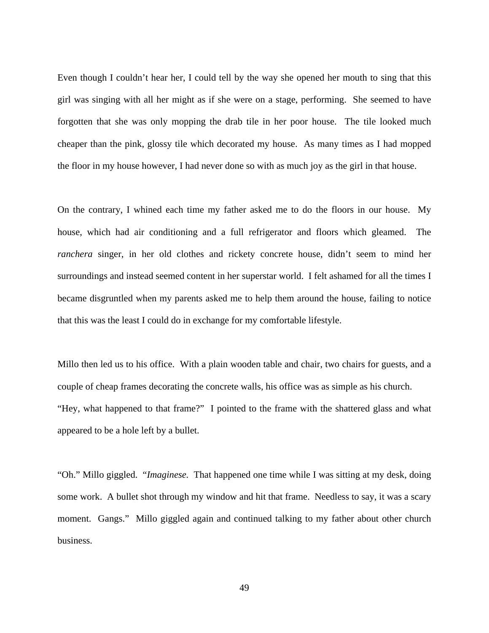Even though I couldn't hear her, I could tell by the way she opened her mouth to sing that this girl was singing with all her might as if she were on a stage, performing. She seemed to have forgotten that she was only mopping the drab tile in her poor house. The tile looked much cheaper than the pink, glossy tile which decorated my house. As many times as I had mopped the floor in my house however, I had never done so with as much joy as the girl in that house.

On the contrary, I whined each time my father asked me to do the floors in our house. My house, which had air conditioning and a full refrigerator and floors which gleamed. The *ranchera* singer, in her old clothes and rickety concrete house, didn't seem to mind her surroundings and instead seemed content in her superstar world. I felt ashamed for all the times I became disgruntled when my parents asked me to help them around the house, failing to notice that this was the least I could do in exchange for my comfortable lifestyle.

Millo then led us to his office. With a plain wooden table and chair, two chairs for guests, and a couple of cheap frames decorating the concrete walls, his office was as simple as his church. "Hey, what happened to that frame?" I pointed to the frame with the shattered glass and what appeared to be a hole left by a bullet.

"Oh." Millo giggled. "*Imaginese.* That happened one time while I was sitting at my desk, doing some work. A bullet shot through my window and hit that frame. Needless to say, it was a scary moment. Gangs." Millo giggled again and continued talking to my father about other church business.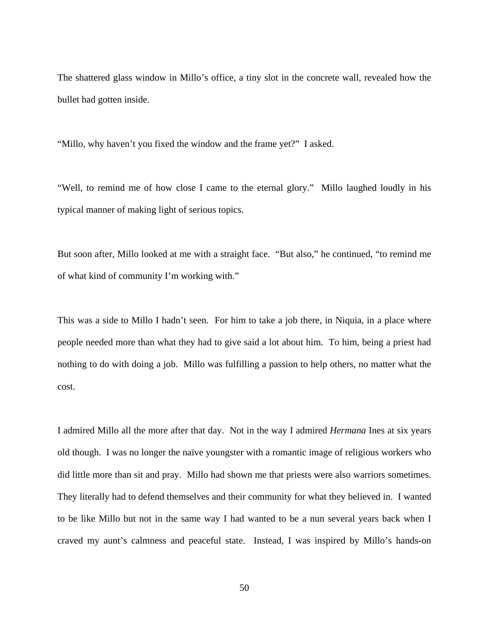The shattered glass window in Millo's office, a tiny slot in the concrete wall, revealed how the bullet had gotten inside.

"Millo, why haven't you fixed the window and the frame yet?" I asked.

"Well, to remind me of how close I came to the eternal glory." Millo laughed loudly in his typical manner of making light of serious topics.

But soon after, Millo looked at me with a straight face. "But also," he continued, "to remind me of what kind of community I'm working with."

This was a side to Millo I hadn't seen. For him to take a job there, in Niquia, in a place where people needed more than what they had to give said a lot about him. To him, being a priest had nothing to do with doing a job. Millo was fulfilling a passion to help others, no matter what the cost.

I admired Millo all the more after that day. Not in the way I admired *Hermana* Ines at six years old though. I was no longer the naïve youngster with a romantic image of religious workers who did little more than sit and pray. Millo had shown me that priests were also warriors sometimes. They literally had to defend themselves and their community for what they believed in. I wanted to be like Millo but not in the same way I had wanted to be a nun several years back when I craved my aunt's calmness and peaceful state. Instead, I was inspired by Millo's hands-on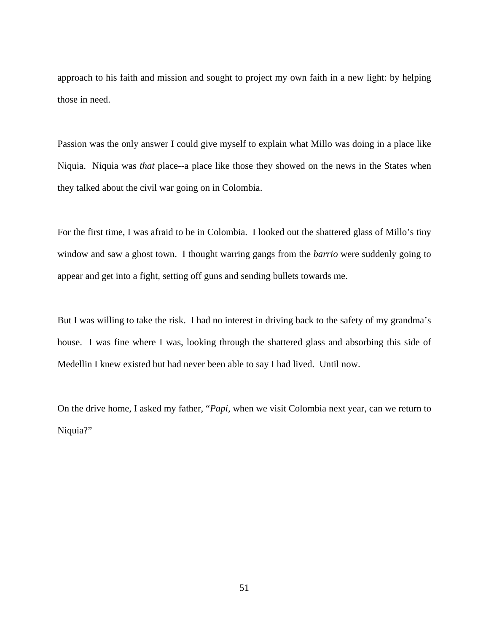approach to his faith and mission and sought to project my own faith in a new light: by helping those in need.

Passion was the only answer I could give myself to explain what Millo was doing in a place like Niquia. Niquia was *that* place--a place like those they showed on the news in the States when they talked about the civil war going on in Colombia.

For the first time, I was afraid to be in Colombia. I looked out the shattered glass of Millo's tiny window and saw a ghost town. I thought warring gangs from the *barrio* were suddenly going to appear and get into a fight, setting off guns and sending bullets towards me.

But I was willing to take the risk. I had no interest in driving back to the safety of my grandma's house. I was fine where I was, looking through the shattered glass and absorbing this side of Medellin I knew existed but had never been able to say I had lived. Until now.

On the drive home, I asked my father, "*Papi,* when we visit Colombia next year, can we return to Niquia?"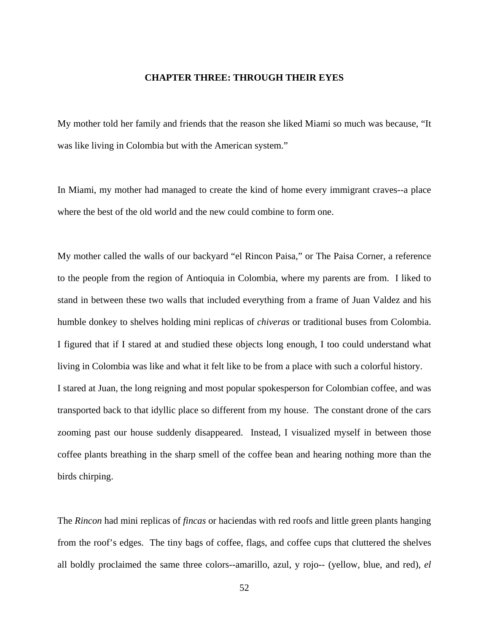## **CHAPTER THREE: THROUGH THEIR EYES**

My mother told her family and friends that the reason she liked Miami so much was because, "It was like living in Colombia but with the American system."

In Miami, my mother had managed to create the kind of home every immigrant craves--a place where the best of the old world and the new could combine to form one.

My mother called the walls of our backyard "el Rincon Paisa," or The Paisa Corner, a reference to the people from the region of Antioquia in Colombia, where my parents are from. I liked to stand in between these two walls that included everything from a frame of Juan Valdez and his humble donkey to shelves holding mini replicas of *chiveras* or traditional buses from Colombia. I figured that if I stared at and studied these objects long enough, I too could understand what living in Colombia was like and what it felt like to be from a place with such a colorful history. I stared at Juan, the long reigning and most popular spokesperson for Colombian coffee, and was transported back to that idyllic place so different from my house. The constant drone of the cars zooming past our house suddenly disappeared. Instead, I visualized myself in between those coffee plants breathing in the sharp smell of the coffee bean and hearing nothing more than the birds chirping.

The *Rincon* had mini replicas of *fincas* or haciendas with red roofs and little green plants hanging from the roof's edges. The tiny bags of coffee, flags, and coffee cups that cluttered the shelves all boldly proclaimed the same three colors--amarillo, azul, y rojo-- (yellow, blue, and red), *el*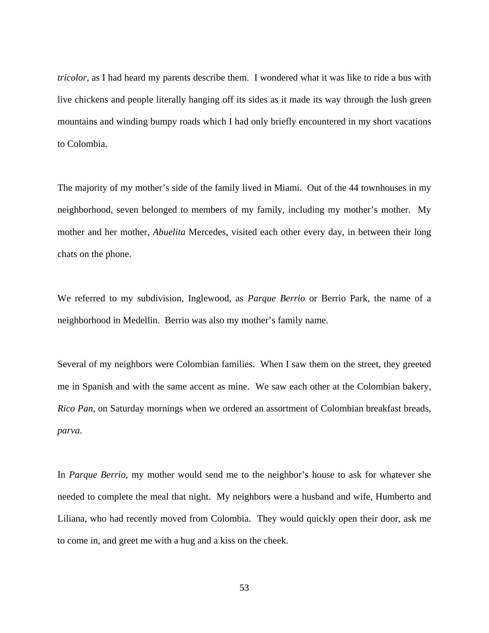*tricolor*, as I had heard my parents describe them. I wondered what it was like to ride a bus with live chickens and people literally hanging off its sides as it made its way through the lush green mountains and winding bumpy roads which I had only briefly encountered in my short vacations to Colombia.

The majority of my mother's side of the family lived in Miami. Out of the 44 townhouses in my neighborhood, seven belonged to members of my family, including my mother's mother. My mother and her mother, *Abuelita* Mercedes, visited each other every day, in between their long chats on the phone.

We referred to my subdivision, Inglewood, as *Parque Berrio* or Berrio Park, the name of a neighborhood in Medellin. Berrio was also my mother's family name.

Several of my neighbors were Colombian families. When I saw them on the street, they greeted me in Spanish and with the same accent as mine. We saw each other at the Colombian bakery, *Rico Pan*, on Saturday mornings when we ordered an assortment of Colombian breakfast breads, *parva*.

In *Parque Berrio*, my mother would send me to the neighbor's house to ask for whatever she needed to complete the meal that night. My neighbors were a husband and wife, Humberto and Liliana, who had recently moved from Colombia. They would quickly open their door, ask me to come in, and greet me with a hug and a kiss on the cheek.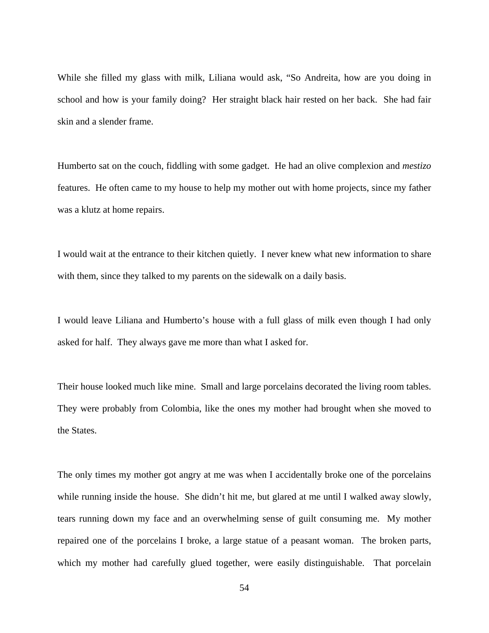While she filled my glass with milk, Liliana would ask, "So Andreita, how are you doing in school and how is your family doing? Her straight black hair rested on her back. She had fair skin and a slender frame.

Humberto sat on the couch, fiddling with some gadget. He had an olive complexion and *mestizo*  features. He often came to my house to help my mother out with home projects, since my father was a klutz at home repairs.

I would wait at the entrance to their kitchen quietly. I never knew what new information to share with them, since they talked to my parents on the sidewalk on a daily basis.

I would leave Liliana and Humberto's house with a full glass of milk even though I had only asked for half. They always gave me more than what I asked for.

Their house looked much like mine. Small and large porcelains decorated the living room tables. They were probably from Colombia, like the ones my mother had brought when she moved to the States.

The only times my mother got angry at me was when I accidentally broke one of the porcelains while running inside the house. She didn't hit me, but glared at me until I walked away slowly, tears running down my face and an overwhelming sense of guilt consuming me. My mother repaired one of the porcelains I broke, a large statue of a peasant woman. The broken parts, which my mother had carefully glued together, were easily distinguishable. That porcelain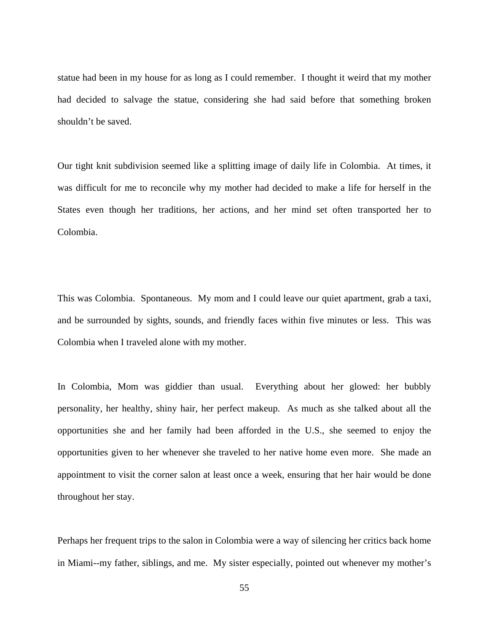statue had been in my house for as long as I could remember. I thought it weird that my mother had decided to salvage the statue, considering she had said before that something broken shouldn't be saved.

Our tight knit subdivision seemed like a splitting image of daily life in Colombia. At times, it was difficult for me to reconcile why my mother had decided to make a life for herself in the States even though her traditions, her actions, and her mind set often transported her to Colombia.

This was Colombia. Spontaneous. My mom and I could leave our quiet apartment, grab a taxi, and be surrounded by sights, sounds, and friendly faces within five minutes or less. This was Colombia when I traveled alone with my mother.

In Colombia, Mom was giddier than usual. Everything about her glowed: her bubbly personality, her healthy, shiny hair, her perfect makeup. As much as she talked about all the opportunities she and her family had been afforded in the U.S., she seemed to enjoy the opportunities given to her whenever she traveled to her native home even more. She made an appointment to visit the corner salon at least once a week, ensuring that her hair would be done throughout her stay.

Perhaps her frequent trips to the salon in Colombia were a way of silencing her critics back home in Miami--my father, siblings, and me. My sister especially, pointed out whenever my mother's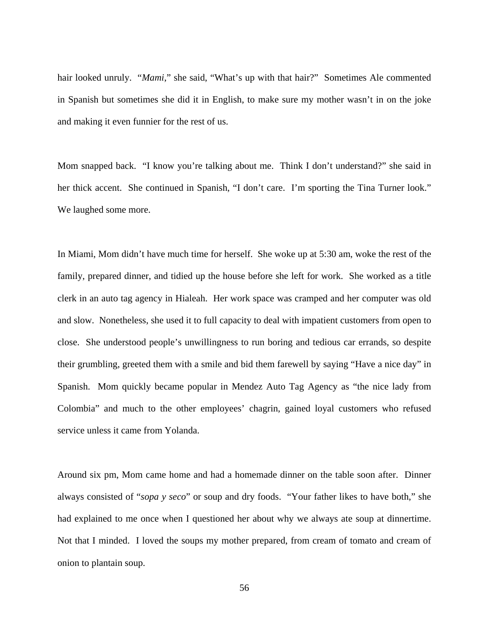hair looked unruly. "*Mami*," she said, "What's up with that hair?" Sometimes Ale commented in Spanish but sometimes she did it in English, to make sure my mother wasn't in on the joke and making it even funnier for the rest of us.

Mom snapped back. "I know you're talking about me. Think I don't understand?" she said in her thick accent. She continued in Spanish, "I don't care. I'm sporting the Tina Turner look." We laughed some more.

In Miami, Mom didn't have much time for herself. She woke up at 5:30 am, woke the rest of the family, prepared dinner, and tidied up the house before she left for work. She worked as a title clerk in an auto tag agency in Hialeah. Her work space was cramped and her computer was old and slow. Nonetheless, she used it to full capacity to deal with impatient customers from open to close. She understood people's unwillingness to run boring and tedious car errands, so despite their grumbling, greeted them with a smile and bid them farewell by saying "Have a nice day" in Spanish. Mom quickly became popular in Mendez Auto Tag Agency as "the nice lady from Colombia" and much to the other employees' chagrin, gained loyal customers who refused service unless it came from Yolanda.

Around six pm, Mom came home and had a homemade dinner on the table soon after. Dinner always consisted of "*sopa y seco*" or soup and dry foods. "Your father likes to have both," she had explained to me once when I questioned her about why we always ate soup at dinnertime. Not that I minded. I loved the soups my mother prepared, from cream of tomato and cream of onion to plantain soup.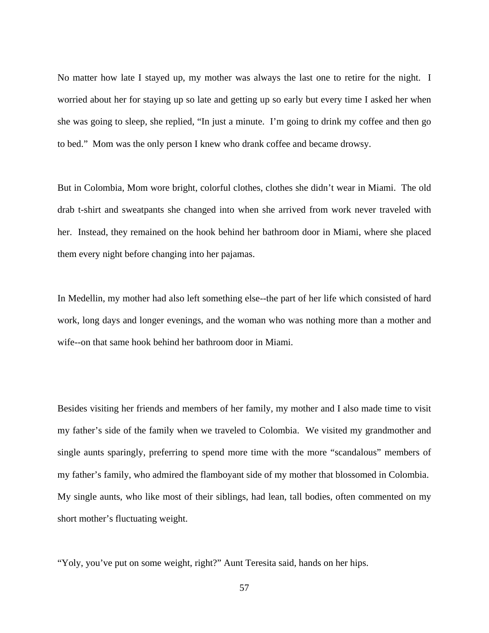No matter how late I stayed up, my mother was always the last one to retire for the night. I worried about her for staying up so late and getting up so early but every time I asked her when she was going to sleep, she replied, "In just a minute. I'm going to drink my coffee and then go to bed." Mom was the only person I knew who drank coffee and became drowsy.

But in Colombia, Mom wore bright, colorful clothes, clothes she didn't wear in Miami. The old drab t-shirt and sweatpants she changed into when she arrived from work never traveled with her. Instead, they remained on the hook behind her bathroom door in Miami, where she placed them every night before changing into her pajamas.

In Medellin, my mother had also left something else--the part of her life which consisted of hard work, long days and longer evenings, and the woman who was nothing more than a mother and wife--on that same hook behind her bathroom door in Miami.

Besides visiting her friends and members of her family, my mother and I also made time to visit my father's side of the family when we traveled to Colombia. We visited my grandmother and single aunts sparingly, preferring to spend more time with the more "scandalous" members of my father's family, who admired the flamboyant side of my mother that blossomed in Colombia. My single aunts, who like most of their siblings, had lean, tall bodies, often commented on my short mother's fluctuating weight.

"Yoly, you've put on some weight, right?" Aunt Teresita said, hands on her hips.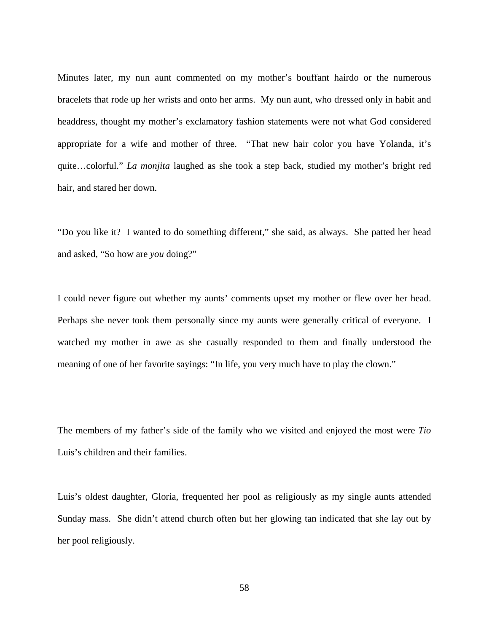Minutes later, my nun aunt commented on my mother's bouffant hairdo or the numerous bracelets that rode up her wrists and onto her arms. My nun aunt, who dressed only in habit and headdress, thought my mother's exclamatory fashion statements were not what God considered appropriate for a wife and mother of three. "That new hair color you have Yolanda, it's quite…colorful." *La monjita* laughed as she took a step back, studied my mother's bright red hair, and stared her down.

"Do you like it? I wanted to do something different," she said, as always. She patted her head and asked, "So how are *you* doing?"

I could never figure out whether my aunts' comments upset my mother or flew over her head. Perhaps she never took them personally since my aunts were generally critical of everyone. I watched my mother in awe as she casually responded to them and finally understood the meaning of one of her favorite sayings: "In life, you very much have to play the clown."

The members of my father's side of the family who we visited and enjoyed the most were *Tio* Luis's children and their families.

Luis's oldest daughter, Gloria, frequented her pool as religiously as my single aunts attended Sunday mass. She didn't attend church often but her glowing tan indicated that she lay out by her pool religiously.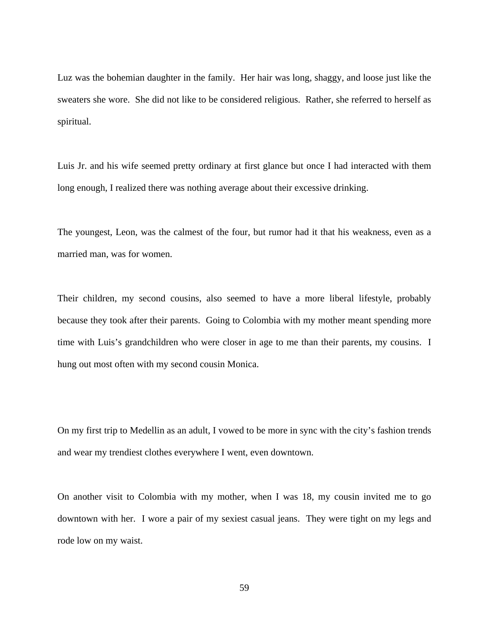Luz was the bohemian daughter in the family. Her hair was long, shaggy, and loose just like the sweaters she wore. She did not like to be considered religious. Rather, she referred to herself as spiritual.

Luis Jr. and his wife seemed pretty ordinary at first glance but once I had interacted with them long enough, I realized there was nothing average about their excessive drinking.

The youngest, Leon, was the calmest of the four, but rumor had it that his weakness, even as a married man, was for women.

Their children, my second cousins, also seemed to have a more liberal lifestyle, probably because they took after their parents. Going to Colombia with my mother meant spending more time with Luis's grandchildren who were closer in age to me than their parents, my cousins. I hung out most often with my second cousin Monica.

On my first trip to Medellin as an adult, I vowed to be more in sync with the city's fashion trends and wear my trendiest clothes everywhere I went, even downtown.

On another visit to Colombia with my mother, when I was 18, my cousin invited me to go downtown with her. I wore a pair of my sexiest casual jeans. They were tight on my legs and rode low on my waist.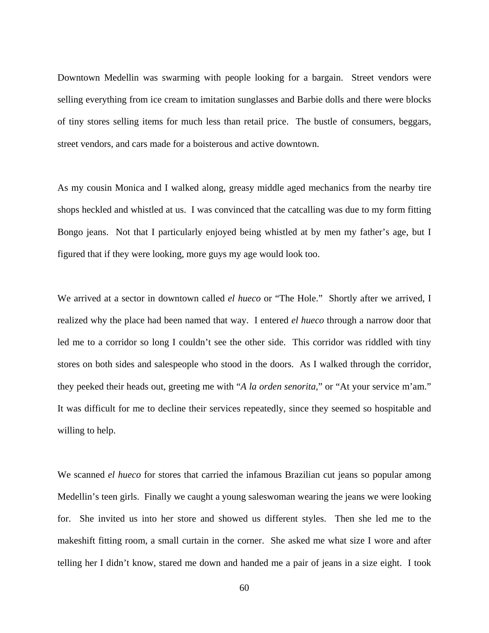Downtown Medellin was swarming with people looking for a bargain. Street vendors were selling everything from ice cream to imitation sunglasses and Barbie dolls and there were blocks of tiny stores selling items for much less than retail price. The bustle of consumers, beggars, street vendors, and cars made for a boisterous and active downtown.

As my cousin Monica and I walked along, greasy middle aged mechanics from the nearby tire shops heckled and whistled at us. I was convinced that the catcalling was due to my form fitting Bongo jeans. Not that I particularly enjoyed being whistled at by men my father's age, but I figured that if they were looking, more guys my age would look too.

We arrived at a sector in downtown called *el hueco* or "The Hole." Shortly after we arrived, I realized why the place had been named that way. I entered *el hueco* through a narrow door that led me to a corridor so long I couldn't see the other side. This corridor was riddled with tiny stores on both sides and salespeople who stood in the doors. As I walked through the corridor, they peeked their heads out, greeting me with "*A la orden senorita,*" or "At your service m'am." It was difficult for me to decline their services repeatedly, since they seemed so hospitable and willing to help.

We scanned *el hueco* for stores that carried the infamous Brazilian cut jeans so popular among Medellin's teen girls. Finally we caught a young saleswoman wearing the jeans we were looking for. She invited us into her store and showed us different styles. Then she led me to the makeshift fitting room, a small curtain in the corner. She asked me what size I wore and after telling her I didn't know, stared me down and handed me a pair of jeans in a size eight. I took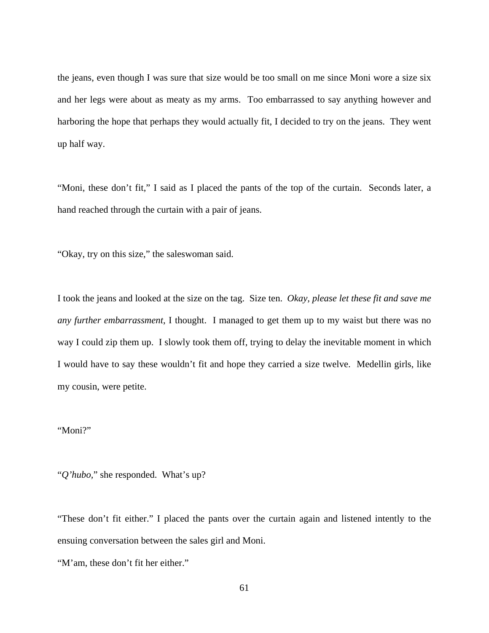the jeans, even though I was sure that size would be too small on me since Moni wore a size six and her legs were about as meaty as my arms. Too embarrassed to say anything however and harboring the hope that perhaps they would actually fit, I decided to try on the jeans. They went up half way.

"Moni, these don't fit," I said as I placed the pants of the top of the curtain. Seconds later, a hand reached through the curtain with a pair of jeans.

"Okay, try on this size," the saleswoman said.

I took the jeans and looked at the size on the tag. Size ten. *Okay, please let these fit and save me any further embarrassment*, I thought. I managed to get them up to my waist but there was no way I could zip them up. I slowly took them off, trying to delay the inevitable moment in which I would have to say these wouldn't fit and hope they carried a size twelve. Medellin girls, like my cousin, were petite.

## "Moni?"

"*Q'hubo,*" she responded. What's up?

"These don't fit either." I placed the pants over the curtain again and listened intently to the ensuing conversation between the sales girl and Moni.

"M'am, these don't fit her either."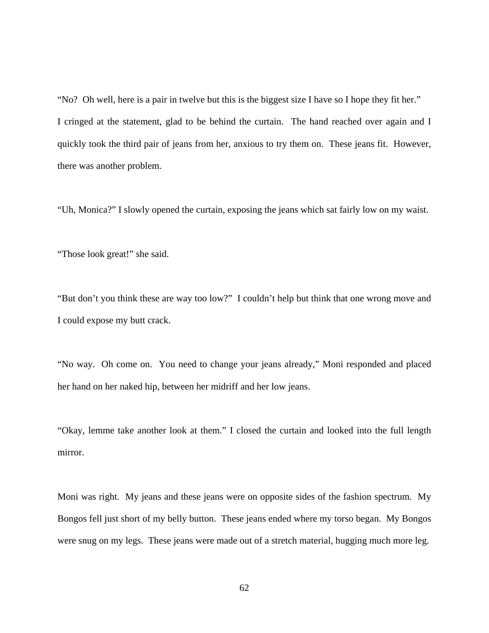"No? Oh well, here is a pair in twelve but this is the biggest size I have so I hope they fit her." I cringed at the statement, glad to be behind the curtain. The hand reached over again and I quickly took the third pair of jeans from her, anxious to try them on. These jeans fit. However, there was another problem.

"Uh, Monica?" I slowly opened the curtain, exposing the jeans which sat fairly low on my waist.

"Those look great!" she said.

"But don't you think these are way too low?" I couldn't help but think that one wrong move and I could expose my butt crack.

"No way. Oh come on. You need to change your jeans already," Moni responded and placed her hand on her naked hip, between her midriff and her low jeans.

"Okay, lemme take another look at them." I closed the curtain and looked into the full length mirror.

Moni was right. My jeans and these jeans were on opposite sides of the fashion spectrum. My Bongos fell just short of my belly button. These jeans ended where my torso began. My Bongos were snug on my legs. These jeans were made out of a stretch material, hugging much more leg.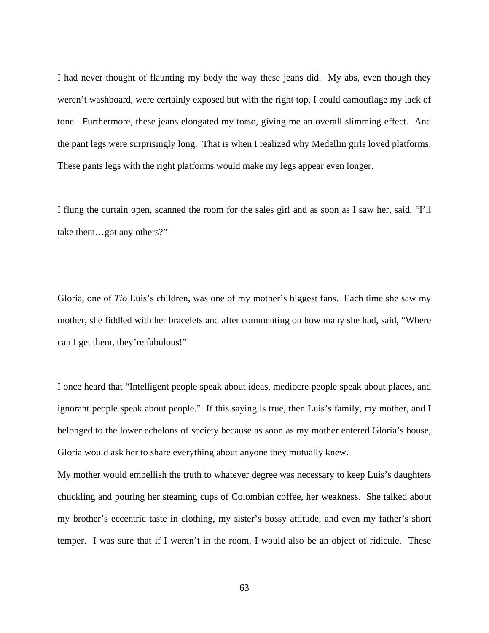I had never thought of flaunting my body the way these jeans did. My abs, even though they weren't washboard, were certainly exposed but with the right top, I could camouflage my lack of tone. Furthermore, these jeans elongated my torso, giving me an overall slimming effect. And the pant legs were surprisingly long. That is when I realized why Medellin girls loved platforms. These pants legs with the right platforms would make my legs appear even longer.

I flung the curtain open, scanned the room for the sales girl and as soon as I saw her, said, "I'll take them…got any others?"

Gloria, one of *Tio* Luis's children, was one of my mother's biggest fans. Each time she saw my mother, she fiddled with her bracelets and after commenting on how many she had, said, "Where can I get them, they're fabulous!"

I once heard that "Intelligent people speak about ideas, mediocre people speak about places, and ignorant people speak about people." If this saying is true, then Luis's family, my mother, and I belonged to the lower echelons of society because as soon as my mother entered Gloria's house, Gloria would ask her to share everything about anyone they mutually knew.

My mother would embellish the truth to whatever degree was necessary to keep Luis's daughters chuckling and pouring her steaming cups of Colombian coffee, her weakness. She talked about my brother's eccentric taste in clothing, my sister's bossy attitude, and even my father's short temper. I was sure that if I weren't in the room, I would also be an object of ridicule. These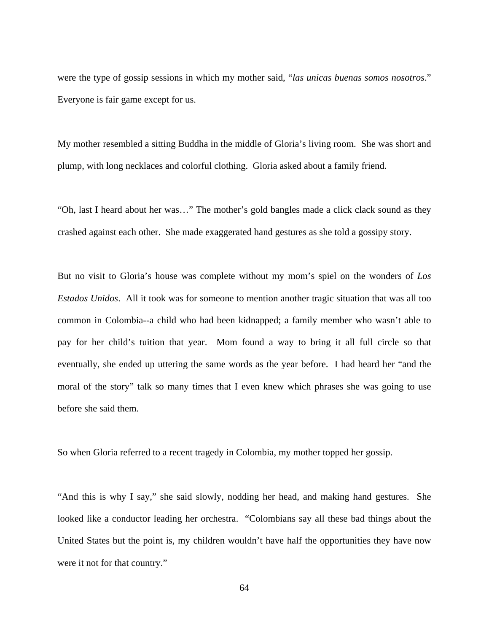were the type of gossip sessions in which my mother said, "*las unicas buenas somos nosotros*." Everyone is fair game except for us.

My mother resembled a sitting Buddha in the middle of Gloria's living room. She was short and plump, with long necklaces and colorful clothing. Gloria asked about a family friend.

"Oh, last I heard about her was…" The mother's gold bangles made a click clack sound as they crashed against each other. She made exaggerated hand gestures as she told a gossipy story.

But no visit to Gloria's house was complete without my mom's spiel on the wonders of *Los Estados Unidos*. All it took was for someone to mention another tragic situation that was all too common in Colombia--a child who had been kidnapped; a family member who wasn't able to pay for her child's tuition that year. Mom found a way to bring it all full circle so that eventually, she ended up uttering the same words as the year before. I had heard her "and the moral of the story" talk so many times that I even knew which phrases she was going to use before she said them.

So when Gloria referred to a recent tragedy in Colombia, my mother topped her gossip.

"And this is why I say," she said slowly, nodding her head, and making hand gestures. She looked like a conductor leading her orchestra. "Colombians say all these bad things about the United States but the point is, my children wouldn't have half the opportunities they have now were it not for that country."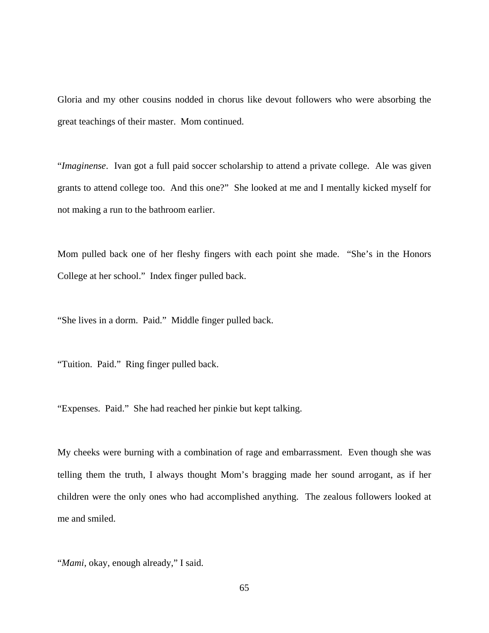Gloria and my other cousins nodded in chorus like devout followers who were absorbing the great teachings of their master. Mom continued.

"*Imaginense*. Ivan got a full paid soccer scholarship to attend a private college. Ale was given grants to attend college too. And this one?" She looked at me and I mentally kicked myself for not making a run to the bathroom earlier.

Mom pulled back one of her fleshy fingers with each point she made. "She's in the Honors College at her school." Index finger pulled back.

"She lives in a dorm. Paid." Middle finger pulled back.

"Tuition. Paid." Ring finger pulled back.

"Expenses. Paid." She had reached her pinkie but kept talking.

My cheeks were burning with a combination of rage and embarrassment. Even though she was telling them the truth, I always thought Mom's bragging made her sound arrogant, as if her children were the only ones who had accomplished anything. The zealous followers looked at me and smiled.

"*Mami*, okay, enough already," I said.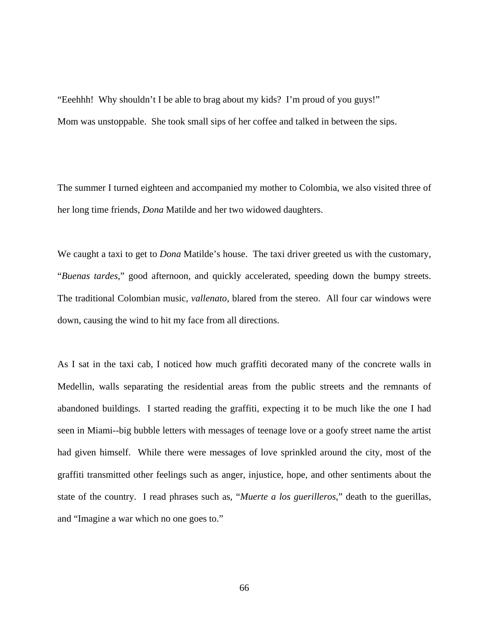"Eeehhh! Why shouldn't I be able to brag about my kids? I'm proud of you guys!" Mom was unstoppable. She took small sips of her coffee and talked in between the sips.

The summer I turned eighteen and accompanied my mother to Colombia, we also visited three of her long time friends, *Dona* Matilde and her two widowed daughters.

We caught a taxi to get to *Dona* Matilde's house. The taxi driver greeted us with the customary, "*Buenas tardes*," good afternoon, and quickly accelerated, speeding down the bumpy streets. The traditional Colombian music, *vallenato*, blared from the stereo. All four car windows were down, causing the wind to hit my face from all directions.

As I sat in the taxi cab, I noticed how much graffiti decorated many of the concrete walls in Medellin, walls separating the residential areas from the public streets and the remnants of abandoned buildings. I started reading the graffiti, expecting it to be much like the one I had seen in Miami--big bubble letters with messages of teenage love or a goofy street name the artist had given himself. While there were messages of love sprinkled around the city, most of the graffiti transmitted other feelings such as anger, injustice, hope, and other sentiments about the state of the country. I read phrases such as, "*Muerte a los guerilleros*," death to the guerillas, and "Imagine a war which no one goes to."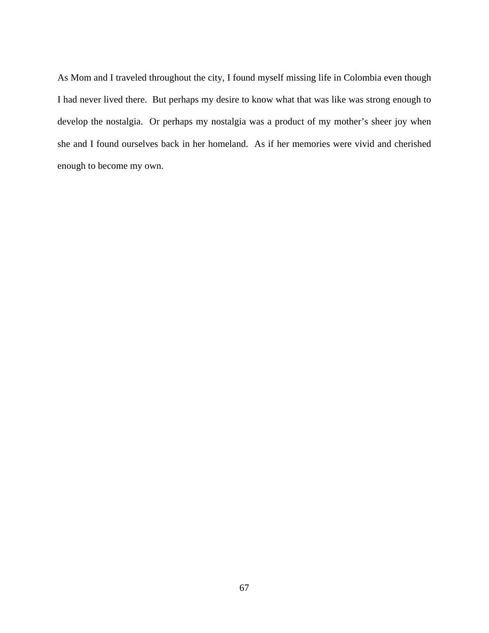As Mom and I traveled throughout the city, I found myself missing life in Colombia even though I had never lived there. But perhaps my desire to know what that was like was strong enough to develop the nostalgia. Or perhaps my nostalgia was a product of my mother's sheer joy when she and I found ourselves back in her homeland. As if her memories were vivid and cherished enough to become my own.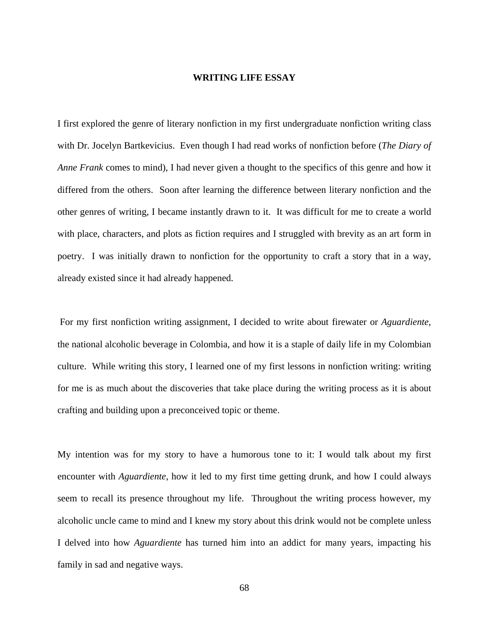## **WRITING LIFE ESSAY**

I first explored the genre of literary nonfiction in my first undergraduate nonfiction writing class with Dr. Jocelyn Bartkevicius. Even though I had read works of nonfiction before (*The Diary of Anne Frank* comes to mind), I had never given a thought to the specifics of this genre and how it differed from the others. Soon after learning the difference between literary nonfiction and the other genres of writing, I became instantly drawn to it. It was difficult for me to create a world with place, characters, and plots as fiction requires and I struggled with brevity as an art form in poetry. I was initially drawn to nonfiction for the opportunity to craft a story that in a way, already existed since it had already happened.

 For my first nonfiction writing assignment, I decided to write about firewater or *Aguardiente*, the national alcoholic beverage in Colombia, and how it is a staple of daily life in my Colombian culture. While writing this story, I learned one of my first lessons in nonfiction writing: writing for me is as much about the discoveries that take place during the writing process as it is about crafting and building upon a preconceived topic or theme.

My intention was for my story to have a humorous tone to it: I would talk about my first encounter with *Aguardiente*, how it led to my first time getting drunk, and how I could always seem to recall its presence throughout my life. Throughout the writing process however, my alcoholic uncle came to mind and I knew my story about this drink would not be complete unless I delved into how *Aguardiente* has turned him into an addict for many years, impacting his family in sad and negative ways.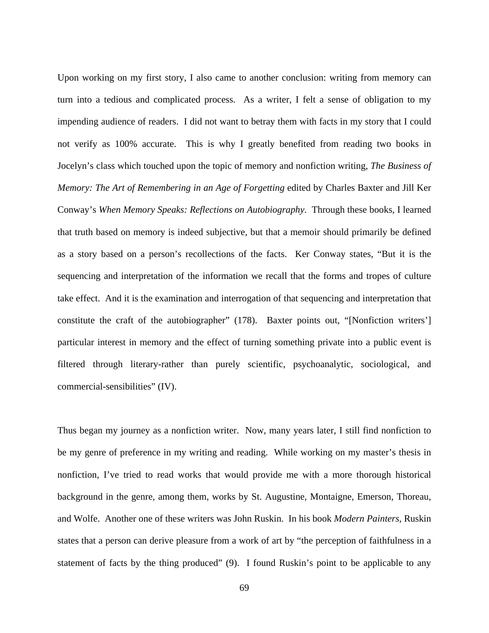Upon working on my first story, I also came to another conclusion: writing from memory can turn into a tedious and complicated process. As a writer, I felt a sense of obligation to my impending audience of readers. I did not want to betray them with facts in my story that I could not verify as 100% accurate. This is why I greatly benefited from reading two books in Jocelyn's class which touched upon the topic of memory and nonfiction writing, *The Business of Memory: The Art of Remembering in an Age of Forgetting* edited by Charles Baxter and Jill Ker Conway's *When Memory Speaks: Reflections on Autobiography*. Through these books, I learned that truth based on memory is indeed subjective, but that a memoir should primarily be defined as a story based on a person's recollections of the facts. Ker Conway states, "But it is the sequencing and interpretation of the information we recall that the forms and tropes of culture take effect. And it is the examination and interrogation of that sequencing and interpretation that constitute the craft of the autobiographer" (178). Baxter points out, "[Nonfiction writers'] particular interest in memory and the effect of turning something private into a public event is filtered through literary-rather than purely scientific, psychoanalytic, sociological, and commercial-sensibilities" (IV).

Thus began my journey as a nonfiction writer. Now, many years later, I still find nonfiction to be my genre of preference in my writing and reading. While working on my master's thesis in nonfiction, I've tried to read works that would provide me with a more thorough historical background in the genre, among them, works by St. Augustine, Montaigne, Emerson, Thoreau, and Wolfe. Another one of these writers was John Ruskin. In his book *Modern Painters*, Ruskin states that a person can derive pleasure from a work of art by "the perception of faithfulness in a statement of facts by the thing produced" (9). I found Ruskin's point to be applicable to any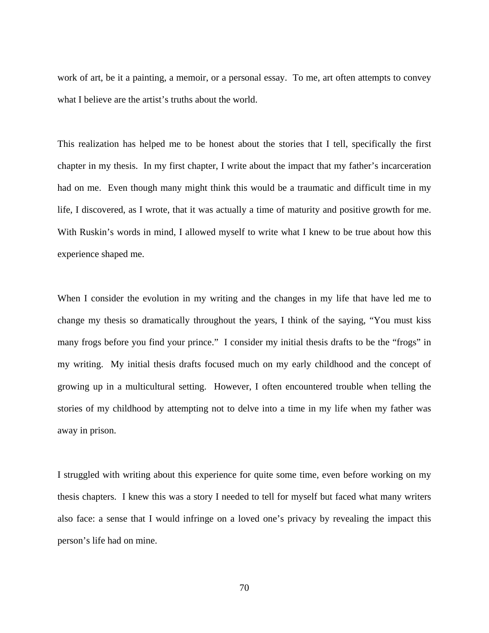work of art, be it a painting, a memoir, or a personal essay. To me, art often attempts to convey what I believe are the artist's truths about the world.

This realization has helped me to be honest about the stories that I tell, specifically the first chapter in my thesis. In my first chapter, I write about the impact that my father's incarceration had on me. Even though many might think this would be a traumatic and difficult time in my life, I discovered, as I wrote, that it was actually a time of maturity and positive growth for me. With Ruskin's words in mind, I allowed myself to write what I knew to be true about how this experience shaped me.

When I consider the evolution in my writing and the changes in my life that have led me to change my thesis so dramatically throughout the years, I think of the saying, "You must kiss many frogs before you find your prince." I consider my initial thesis drafts to be the "frogs" in my writing. My initial thesis drafts focused much on my early childhood and the concept of growing up in a multicultural setting. However, I often encountered trouble when telling the stories of my childhood by attempting not to delve into a time in my life when my father was away in prison.

I struggled with writing about this experience for quite some time, even before working on my thesis chapters. I knew this was a story I needed to tell for myself but faced what many writers also face: a sense that I would infringe on a loved one's privacy by revealing the impact this person's life had on mine.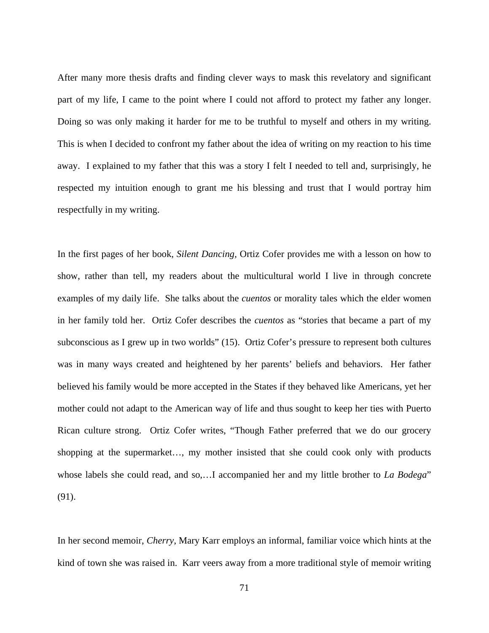After many more thesis drafts and finding clever ways to mask this revelatory and significant part of my life, I came to the point where I could not afford to protect my father any longer. Doing so was only making it harder for me to be truthful to myself and others in my writing. This is when I decided to confront my father about the idea of writing on my reaction to his time away. I explained to my father that this was a story I felt I needed to tell and, surprisingly, he respected my intuition enough to grant me his blessing and trust that I would portray him respectfully in my writing.

In the first pages of her book, *Silent Dancing*, Ortiz Cofer provides me with a lesson on how to show, rather than tell, my readers about the multicultural world I live in through concrete examples of my daily life. She talks about the *cuentos* or morality tales which the elder women in her family told her. Ortiz Cofer describes the *cuentos* as "stories that became a part of my subconscious as I grew up in two worlds" (15). Ortiz Cofer's pressure to represent both cultures was in many ways created and heightened by her parents' beliefs and behaviors. Her father believed his family would be more accepted in the States if they behaved like Americans, yet her mother could not adapt to the American way of life and thus sought to keep her ties with Puerto Rican culture strong. Ortiz Cofer writes, "Though Father preferred that we do our grocery shopping at the supermarket…, my mother insisted that she could cook only with products whose labels she could read, and so,…I accompanied her and my little brother to *La Bodega*" (91).

In her second memoir, *Cherry*, Mary Karr employs an informal, familiar voice which hints at the kind of town she was raised in. Karr veers away from a more traditional style of memoir writing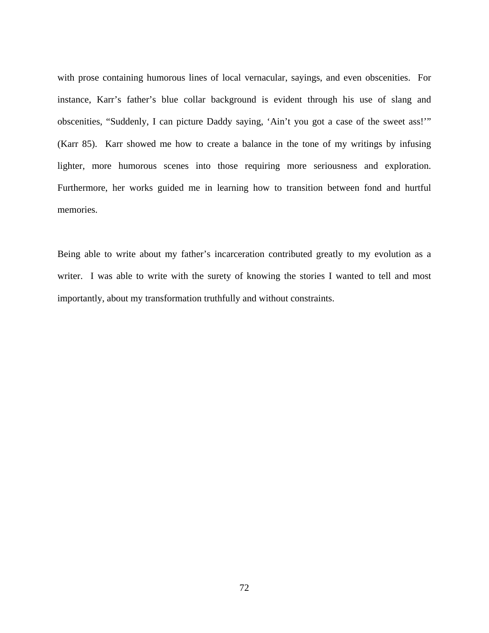with prose containing humorous lines of local vernacular, sayings, and even obscenities. For instance, Karr's father's blue collar background is evident through his use of slang and obscenities, "Suddenly, I can picture Daddy saying, 'Ain't you got a case of the sweet ass!'" (Karr 85). Karr showed me how to create a balance in the tone of my writings by infusing lighter, more humorous scenes into those requiring more seriousness and exploration. Furthermore, her works guided me in learning how to transition between fond and hurtful memories.

Being able to write about my father's incarceration contributed greatly to my evolution as a writer. I was able to write with the surety of knowing the stories I wanted to tell and most importantly, about my transformation truthfully and without constraints.